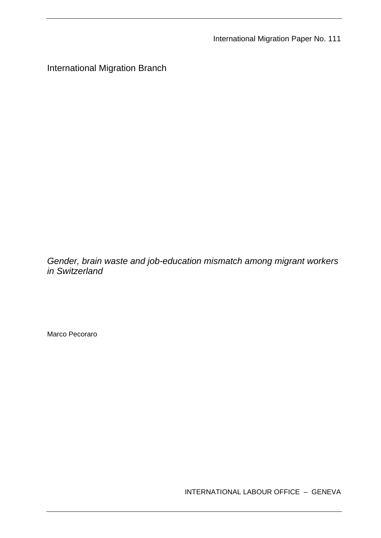International Migration Paper No. 111

International Migration Branch

*Gender, brain waste and job-education mismatch among migrant workers in Switzerland* 

Marco Pecoraro

INTERNATIONAL LABOUR OFFICE – GENEVA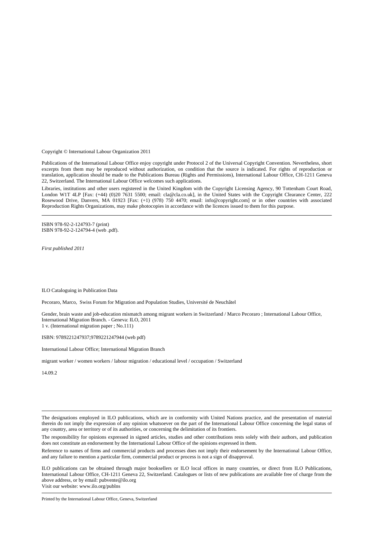Copyright © International Labour Organization 2011

Publications of the International Labour Office enjoy copyright under Protocol 2 of the Universal Copyright Convention. Nevertheless, short excerpts from them may be reproduced without authorization, on condition that the source is indicated. For rights of reproduction or translation, application should be made to the Publications Bureau (Rights and Permissions), International Labour Office, CH-1211 Geneva 22, Switzerland. The International Labour Office welcomes such applications.

Libraries, institutions and other users registered in the United Kingdom with the Copyright Licensing Agency, 90 Tottenham Court Road, London W1T 4LP [Fax: (+44) (0)20 7631 5500; email: cla@cla.co.uk], in the United States with the Copyright Clearance Center, 222 Rosewood Drive, Danvers, MA 01923 [Fax: (+1) (978) 750 4470; email: info@copyright.com] or in other countries with associated Reproduction Rights Organizations, may make photocopies in accordance with the licences issued to them for this purpose.

ISBN 978-92-2-124793-7 (print) ISBN 978-92-2-124794-4 (web .pdf).

*First published 2011*

#### ILO Cataloguing in Publication Data

Pecoraro, Marco, Swiss Forum for Migration and Population Studies, Université de Neuchâtel

Gender, brain waste and job-education mismatch among migrant workers in Switzerland / Marco Pecoraro ; International Labour Office, International Migration Branch. - Geneva: ILO, 2011 1 v. (International migration paper ; No.111)

ISBN: 9789221247937;9789221247944 (web pdf)

International Labour Office; International Migration Branch

migrant worker / women workers / labour migration / educational level / occupation / Switzerland

14.09.2

The designations employed in ILO publications, which are in conformity with United Nations practice, and the presentation of material therein do not imply the expression of any opinion whatsoever on the part of the International Labour Office concerning the legal status of any country, area or territory or of its authorities, or concerning the delimitation of its frontiers.

The responsibility for opinions expressed in signed articles, studies and other contributions rests solely with their authors, and publication does not constitute an endorsement by the International Labour Office of the opinions expressed in them.

Reference to names of firms and commercial products and processes does not imply their endorsement by the International Labour Office, and any failure to mention a particular firm, commercial product or process is not a sign of disapproval.

ILO publications can be obtained through major booksellers or ILO local offices in many countries, or direct from ILO Publications, International Labour Office, CH-1211 Geneva 22, Switzerland. Catalogues or lists of new publications are available free of charge from the above address, or by email: pubvente@ilo.org Visit our website: www.ilo.org/publns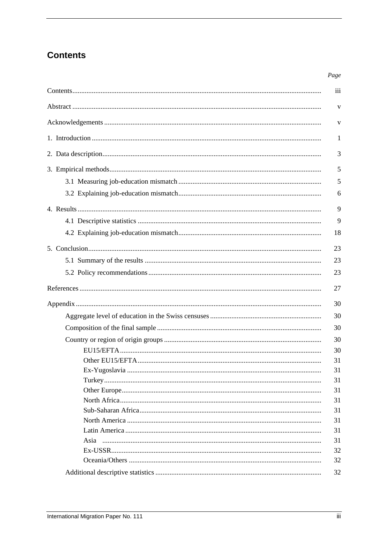# **Contents**

### Page

| iii |
|-----|
| V   |
| V   |
| 1   |
| 3   |
| 5   |
| 5   |
| 6   |
| 9   |
| 9   |
| 18  |
| 23  |
| 23  |
| 23  |
| 27  |
| 30  |
| 30  |
| 30  |
| 30  |
| 30  |
| 31  |
| 31  |
| 31  |
| 31  |
| 31  |
| 31  |
| 31  |
|     |
| 31  |
| 31  |
| 32  |
| 32  |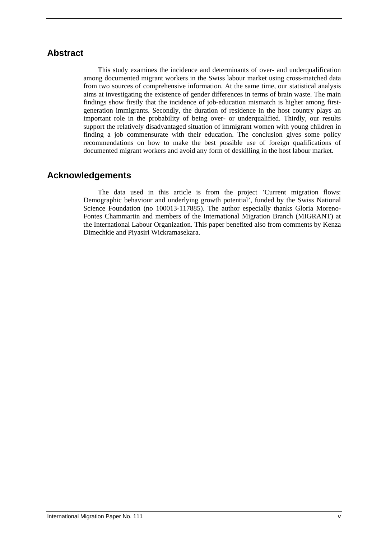## **Abstract**

This study examines the incidence and determinants of over- and underqualification among documented migrant workers in the Swiss labour market using cross-matched data from two sources of comprehensive information. At the same time, our statistical analysis aims at investigating the existence of gender differences in terms of brain waste. The main findings show firstly that the incidence of job-education mismatch is higher among firstgeneration immigrants. Secondly, the duration of residence in the host country plays an important role in the probability of being over- or underqualified. Thirdly, our results support the relatively disadvantaged situation of immigrant women with young children in finding a job commensurate with their education. The conclusion gives some policy recommendations on how to make the best possible use of foreign qualifications of documented migrant workers and avoid any form of deskilling in the host labour market.

## **Acknowledgements**

The data used in this article is from the project 'Current migration flows: Demographic behaviour and underlying growth potential', funded by the Swiss National Science Foundation (no 100013-117885). The author especially thanks Gloria Moreno-Fontes Chammartin and members of the International Migration Branch (MIGRANT) at the International Labour Organization. This paper benefited also from comments by Kenza Dimechkie and Piyasiri Wickramasekara.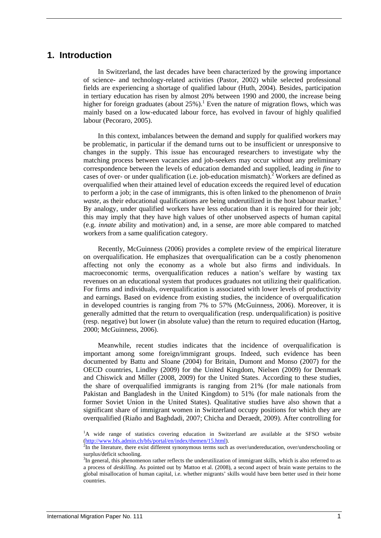## **1. Introduction**

In Switzerland, the last decades have been characterized by the growing importance of science- and technology-related activities (Pastor, 2002) while selected professional fields are experiencing a shortage of qualified labour (Huth, 2004). Besides, participation in tertiary education has risen by almost 20% between 1990 and 2000, the increase being higher for foreign graduates (about  $25\%$ ).<sup>1</sup> Even the nature of migration flows, which was mainly based on a low-educated labour force, has evolved in favour of highly qualified labour (Pecoraro, 2005).

In this context, imbalances between the demand and supply for qualified workers may be problematic, in particular if the demand turns out to be insufficient or unresponsive to changes in the supply. This issue has encouraged researchers to investigate why the matching process between vacancies and job-seekers may occur without any preliminary correspondence between the levels of education demanded and supplied, leading *in fine* to cases of over- or under qualification (i.e. job-education mismatch).<sup>2</sup> Workers are defined as overqualified when their attained level of education exceeds the required level of education to perform a job; in the case of immigrants, this is often linked to the phenomenon of *brain waste*, as their educational qualifications are being underutilized in the host labour market.<sup>3</sup> By analogy, under qualified workers have less education than it is required for their job; this may imply that they have high values of other unobserved aspects of human capital (e.g. *innate* ability and motivation) and, in a sense, are more able compared to matched workers from a same qualification category.

Recently, McGuinness (2006) provides a complete review of the empirical literature on overqualification. He emphasizes that overqualification can be a costly phenomenon affecting not only the economy as a whole but also firms and individuals. In macroeconomic terms, overqualification reduces a nation's welfare by wasting tax revenues on an educational system that produces graduates not utilizing their qualification. For firms and individuals, overqualification is associated with lower levels of productivity and earnings. Based on evidence from existing studies, the incidence of overqualification in developed countries is ranging from 7% to 57% (McGuinness, 2006). Moreover, it is generally admitted that the return to overqualification (resp. underqualification) is positive (resp. negative) but lower (in absolute value) than the return to required education (Hartog, 2000; McGuinness, 2006).

Meanwhile, recent studies indicates that the incidence of overqualification is important among some foreign/immigrant groups. Indeed, such evidence has been documented by Battu and Sloane (2004) for Britain, Dumont and Monso (2007) for the OECD countries, Lindley (2009) for the United Kingdom, Nielsen (2009) for Denmark and Chiswick and Miller (2008, 2009) for the United States. According to these studies, the share of overqualified immigrants is ranging from 21% (for male nationals from Pakistan and Bangladesh in the United Kingdom) to 51% (for male nationals from the former Soviet Union in the United States). Qualitative studies have also shown that a significant share of immigrant women in Switzerland occupy positions for which they are overqualified (Riaño and Baghdadi, 2007; Chicha and Deraedt, 2009). After controlling for

<sup>&</sup>lt;sup>1</sup>A wide range of statistics covering education in Switzerland are available at the SFSO website (http://www.bfs.admin.ch/bfs/portal/en/index/themen/15.html). 2

<sup>&</sup>lt;sup>2</sup>In the literature, there exist different synonymous terms such as over/undereducation, over/underschooling or surplus/deficit schooling.

 ${}^{3}$ In general, this phenomenon rather reflects the underutilization of immigrant skills, which is also referred to as a process of *deskilling*. As pointed out by Mattoo et al. (2008), a second aspect of brain waste pertains to the global misallocation of human capital, i.e. whether migrants' skills would have been better used in their home countries.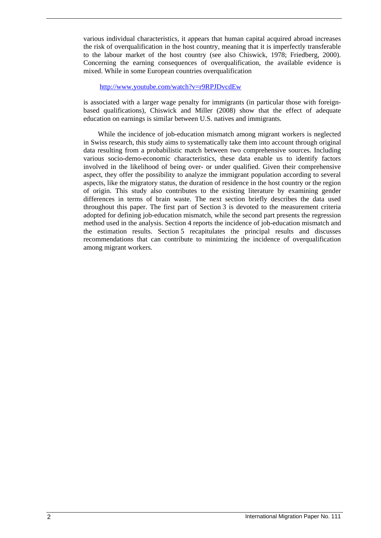various individual characteristics, it appears that human capital acquired abroad increases the risk of overqualification in the host country, meaning that it is imperfectly transferable to the labour market of the host country (see also Chiswick, 1978; Friedberg, 2000). Concerning the earning consequences of overqualification, the available evidence is mixed. While in some European countries overqualification

#### http://www.youtube.com/watch?v=r9RPJDvcdEw

is associated with a larger wage penalty for immigrants (in particular those with foreignbased qualifications), Chiswick and Miller (2008) show that the effect of adequate education on earnings is similar between U.S. natives and immigrants.

While the incidence of job-education mismatch among migrant workers is neglected in Swiss research, this study aims to systematically take them into account through original data resulting from a probabilistic match between two comprehensive sources. Including various socio-demo-economic characteristics, these data enable us to identify factors involved in the likelihood of being over- or under qualified. Given their comprehensive aspect, they offer the possibility to analyze the immigrant population according to several aspects, like the migratory status, the duration of residence in the host country or the region of origin. This study also contributes to the existing literature by examining gender differences in terms of brain waste. The next section briefly describes the data used throughout this paper. The first part of Section 3 is devoted to the measurement criteria adopted for defining job-education mismatch, while the second part presents the regression method used in the analysis. Section 4 reports the incidence of job-education mismatch and the estimation results. Section 5 recapitulates the principal results and discusses recommendations that can contribute to minimizing the incidence of overqualification among migrant workers.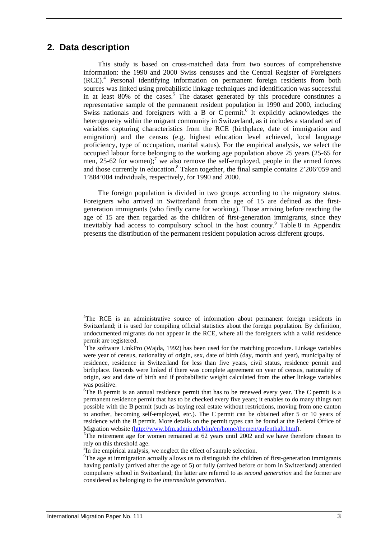## **2. Data description**

This study is based on cross-matched data from two sources of comprehensive information: the 1990 and 2000 Swiss censuses and the Central Register of Foreigners (RCE).<sup>4</sup> Personal identifying information on permanent foreign residents from both sources was linked using probabilistic linkage techniques and identification was successful in at least  $80\%$  of the cases.<sup>5</sup> The dataset generated by this procedure constitutes a representative sample of the permanent resident population in 1990 and 2000, including Swiss nationals and foreigners with a B or C permit.<sup>6</sup> It explicitly acknowledges the heterogeneity within the migrant community in Switzerland, as it includes a standard set of variables capturing characteristics from the RCE (birthplace, date of immigration and emigration) and the census (e.g. highest education level achieved, local language proficiency, type of occupation, marital status). For the empirical analysis, we select the occupied labour force belonging to the working age population above 25 years (25-65 for men,  $25-62$  for women);<sup>7</sup> we also remove the self-employed, people in the armed forces and those currently in education.<sup>8</sup> Taken together, the final sample contains 2'206'059 and 1'884'004 individuals, respectively, for 1990 and 2000.

The foreign population is divided in two groups according to the migratory status. Foreigners who arrived in Switzerland from the age of 15 are defined as the firstgeneration immigrants (who firstly came for working). Those arriving before reaching the age of 15 are then regarded as the children of first-generation immigrants, since they inevitably had access to compulsory school in the host country.<sup>9</sup> Table 8 in Appendix presents the distribution of the permanent resident population across different groups.

<sup>&</sup>lt;sup>4</sup>The RCE is an administrative source of information about permanent foreign residents in Switzerland; it is used for compiling official statistics about the foreign population. By definition, undocumented migrants do not appear in the RCE, where all the foreigners with a valid residence permit are registered.

 $5$ The software LinkPro (Wajda, 1992) has been used for the matching procedure. Linkage variables were year of census, nationality of origin, sex, date of birth (day, month and year), municipality of residence, residence in Switzerland for less than five years, civil status, residence permit and birthplace. Records were linked if there was complete agreement on year of census, nationality of origin, sex and date of birth and if probabilistic weight calculated from the other linkage variables was positive.

<sup>&</sup>lt;sup>6</sup>The B permit is an annual residence permit that has to be renewed every year. The C permit is a permanent residence permit that has to be checked every five years; it enables to do many things not possible with the B permit (such as buying real estate without restrictions, moving from one canton to another, becoming self-employed, etc.). The C permit can be obtained after 5 or 10 years of residence with the B permit. More details on the permit types can be found at the Federal Office of Migration website (http://www.bfm.admin.ch/bfm/en/home/themen/aufenthalt.html).

The retirement age for women remained at  $62$  years until 2002 and we have therefore chosen to rely on this threshold age.

 ${}^{8}$ In the empirical analysis, we neglect the effect of sample selection.

<sup>&</sup>lt;sup>9</sup>The age at immigration actually allows us to distinguish the children of first-generation immigrants having partially (arrived after the age of 5) or fully (arrived before or born in Switzerland) attended compulsory school in Switzerland; the latter are referred to as *second generation* and the former are considered as belonging to the *intermediate generation*.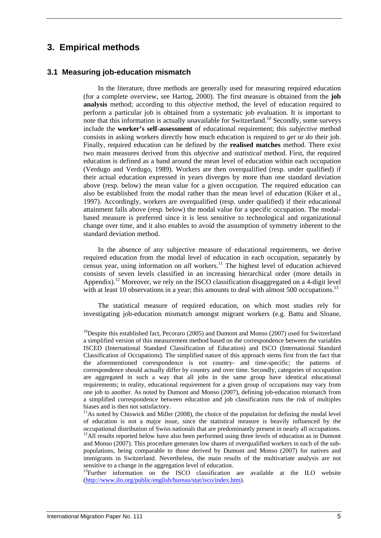## **3. Empirical methods**

### **3.1 Measuring job-education mismatch**

In the literature, three methods are generally used for measuring required education (for a complete overview, see Hartog, 2000). The first measure is obtained from the **job analysis** method; according to this *objective* method, the level of education required to perform a particular job is obtained from a systematic job evaluation. It is important to note that this information is actually unavailable for Switzerland.<sup>10</sup> Secondly, some surveys include the **worker's self-assessment** of educational requirement; this *subjective* method consists in asking workers directly how much education is required to *get* or *do* their job. Finally, required education can be defined by the **realised matches** method. There exist two main measures derived from this *objective* and *statistical* method. First, the required education is defined as a band around the mean level of education within each occupation (Verdugo and Verdugo, 1989). Workers are then overqualified (resp. under qualified) if their actual education expressed in years diverges by more than one standard deviation above (resp. below) the mean value for a given occupation. The required education can also be established from the modal rather than the mean level of education (Kiker et al., 1997). Accordingly, workers are overqualified (resp. under qualified) if their educational attainment falls above (resp. below) the modal value for a specific occupation. The modalbased measure is preferred since it is less sensitive to technological and organizational change over time, and it also enables to avoid the assumption of symmetry inherent to the standard deviation method.

In the absence of any subjective measure of educational requirements, we derive required education from the modal level of education in each occupation, separately by census year, using information on *all* workers.11 The highest level of education achieved consists of seven levels classified in an increasing hierarchical order (more details in Appendix).<sup>12</sup> Moreover, we rely on the ISCO classification disaggregated on a 4-digit level with at least 10 observations in a year; this amounts to deal with almost 500 occupations.<sup>13</sup>

The statistical measure of required education, on which most studies rely for investigating job-education mismatch amongst migrant workers (e.g. Battu and Sloane,

<sup>13</sup>Further information on the ISCO classification are available at the ILO website (http://www.ilo.org/public/english/bureau/stat/isco/index.htm).

 $10$ Despite this established fact, Pecoraro (2005) and Dumont and Monso (2007) used for Switzerland a simplified version of this measurement method based on the correspondence between the variables ISCED (International Standard Classification of Education) and ISCO (International Standard Classification of Occupations). The simplified nature of this approach stems first from the fact that the aforementioned correspondence is not country- and time-specific; the patterns of correspondence should actually differ by country and over time. Secondly, categories of occupation are aggregated in such a way that all jobs in the same group have identical educational requirements; in reality, educational requirement for a given group of occupations may vary from one job to another. As noted by Dumont and Monso (2007), defining job-education mismatch from a simplified correspondence between education and job classification runs the risk of multiples biases and is then not satisfactory.

 $11$ As noted by Chiswick and Miller (2008), the choice of the population for defining the modal level of education is not a major issue, since the statistical measure is heavily influenced by the occupational distribution of Swiss nationals that are predominantly present in nearly all occupations. 12All results reported below have also been performed using three levels of education as in Dumont and Monso (2007). This procedure generates low shares of overqualified workers in each of the subpopulations, being comparable to those derived by Dumont and Monso (2007) for natives and immigrants in Switzerland. Nevertheless, the main results of the multivariate analysis are not sensitive to a change in the aggregation level of education.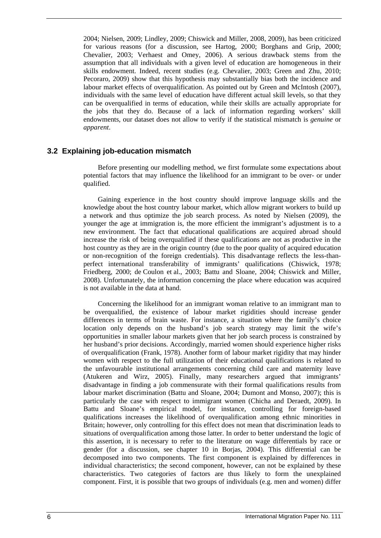2004; Nielsen, 2009; Lindley, 2009; Chiswick and Miller, 2008, 2009), has been criticized for various reasons (for a discussion, see Hartog, 2000; Borghans and Grip, 2000; Chevalier, 2003; Verhaest and Omey, 2006). A serious drawback stems from the assumption that all individuals with a given level of education are homogeneous in their skills endowment. Indeed, recent studies (e.g. Chevalier, 2003; Green and Zhu, 2010; Pecoraro, 2009) show that this hypothesis may substantially bias both the incidence and labour market effects of overqualification. As pointed out by Green and McIntosh (2007), individuals with the same level of education have different actual skill levels, so that they can be overqualified in terms of education, while their skills are actually appropriate for the jobs that they do. Because of a lack of information regarding workers' skill endowments, our dataset does not allow to verify if the statistical mismatch is *genuine* or *apparent*.

### **3.2 Explaining job-education mismatch**

Before presenting our modelling method, we first formulate some expectations about potential factors that may influence the likelihood for an immigrant to be over- or under qualified.

Gaining experience in the host country should improve language skills and the knowledge about the host country labour market, which allow migrant workers to build up a network and thus optimize the job search process. As noted by Nielsen (2009), the younger the age at immigration is, the more efficient the immigrant's adjustment is to a new environment. The fact that educational qualifications are acquired abroad should increase the risk of being overqualified if these qualifications are not as productive in the host country as they are in the origin country (due to the poor quality of acquired education or non-recognition of the foreign credentials). This disadvantage reflects the less-thanperfect international transferability of immigrants' qualifications (Chiswick, 1978; Friedberg, 2000; de Coulon et al., 2003; Battu and Sloane, 2004; Chiswick and Miller, 2008). Unfortunately, the information concerning the place where education was acquired is not available in the data at hand.

Concerning the likelihood for an immigrant woman relative to an immigrant man to be overqualified, the existence of labour market rigidities should increase gender differences in terms of brain waste. For instance, a situation where the family's choice location only depends on the husband's job search strategy may limit the wife's opportunities in smaller labour markets given that her job search process is constrained by her husband's prior decisions. Accordingly, married women should experience higher risks of overqualification (Frank, 1978). Another form of labour market rigidity that may hinder women with respect to the full utilization of their educational qualifications is related to the unfavourable institutional arrangements concerning child care and maternity leave (Atukeren and Wirz, 2005). Finally, many researchers argued that immigrants' disadvantage in finding a job commensurate with their formal qualifications results from labour market discrimination (Battu and Sloane, 2004; Dumont and Monso, 2007); this is particularly the case with respect to immigrant women (Chicha and Deraedt, 2009). In Battu and Sloane's empirical model, for instance, controlling for foreign-based qualifications increases the likelihood of overqualification among ethnic minorities in Britain; however, only controlling for this effect does not mean that discrimination leads to situations of overqualification among those latter. In order to better understand the logic of this assertion, it is necessary to refer to the literature on wage differentials by race or gender (for a discussion, see chapter 10 in Borjas, 2004). This differential can be decomposed into two components. The first component is explained by differences in individual characteristics; the second component, however, can not be explained by these characteristics. Two categories of factors are thus likely to form the unexplained component. First, it is possible that two groups of individuals (e.g. men and women) differ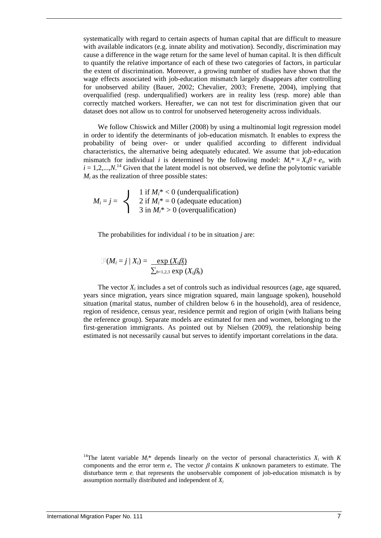systematically with regard to certain aspects of human capital that are difficult to measure with available indicators (e.g. innate ability and motivation). Secondly, discrimination may cause a difference in the wage return for the same level of human capital. It is then difficult to quantify the relative importance of each of these two categories of factors, in particular the extent of discrimination. Moreover, a growing number of studies have shown that the wage effects associated with job-education mismatch largely disappears after controlling for unobserved ability (Bauer, 2002; Chevalier, 2003; Frenette, 2004), implying that overqualified (resp. underqualified) workers are in reality less (resp. more) able than correctly matched workers. Hereafter, we can not test for discrimination given that our dataset does not allow us to control for unobserved heterogeneity across individuals.

We follow Chiswick and Miller (2008) by using a multinomial logit regression model in order to identify the determinants of job-education mismatch. It enables to express the probability of being over- or under qualified according to different individual characteristics, the alternative being adequately educated. We assume that job-education mismatch for individual *i* is determined by the following model:  $M_i^* = X_i \beta + e_i$ , with  $i = 1, 2, \ldots, N$ <sup>14</sup> Given that the latent model is not observed, we define the polytomic variable  $M_i$  as the realization of three possible states:

$$
M_i = j = \begin{cases} 1 & \text{if } M_i^* < 0 \text{ (underqualification)} \\ 2 & \text{if } M_i^* = 0 \text{ (adequate education)} \\ 3 & \text{in } M_i^* > 0 \text{ (overqualification)} \end{cases}
$$

The probabilities for individual *i* to be in situation *j* are:

$$
\mathbb{P}(M_i = j \mid X_i) = \frac{\exp (X_i \beta_i)}{\sum_{h=1,2,3} \exp (X_i \beta_h)}
$$

The vector  $X_i$  includes a set of controls such as individual resources (age, age squared, years since migration, years since migration squared, main language spoken), household situation (marital status, number of children below 6 in the household), area of residence, region of residence, census year, residence permit and region of origin (with Italians being the reference group). Separate models are estimated for men and women, belonging to the first-generation immigrants. As pointed out by Nielsen (2009), the relationship being estimated is not necessarily causal but serves to identify important correlations in the data.

<sup>&</sup>lt;sup>14</sup>The latent variable  $M_i^*$  depends linearly on the vector of personal characteristics  $X_i$  with K components and the error term  $e_i$ . The vector  $\beta$  contains  $K$  unknown parameters to estimate. The disturbance term  $e_i$  that represents the unobservable component of job-education mismatch is by assumption normally distributed and independent of *Xi*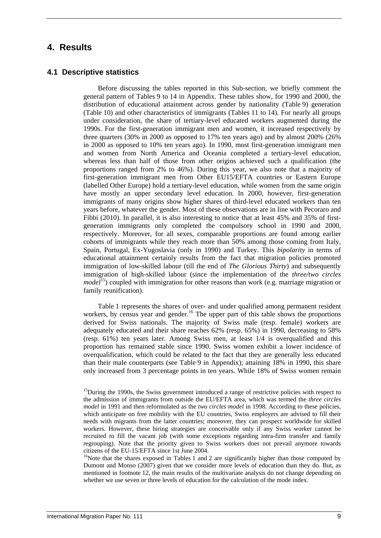## **4. Results**

### **4.1 Descriptive statistics**

Before discussing the tables reported in this Sub-section, we briefly comment the general pattern of Tables 9 to 14 in Appendix. These tables show, for 1990 and 2000, the distribution of educational attainment across gender by nationality (Table 9) generation (Table 10) and other characteristics of immigrants (Tables 11 to 14). For nearly all groups under consideration, the share of tertiary-level educated workers augmented during the 1990s. For the first-generation immigrant men and women, it increased respectively by three quarters (30% in 2000 as opposed to 17% ten years ago) and by almost 200% (26% in 2000 as opposed to 10% ten years ago). In 1990, most first-generation immigrant men and women from North America and Oceania completed a tertiary-level education, whereas less than half of those from other origins achieved such a qualification (the proportions ranged from 2% to 46%). During this year, we also note that a majority of first-generation immigrant men from Other EU15/EFTA countries or Eastern Europe (labelled Other Europe) hold a tertiary-level education, while women from the same origin have mostly an upper secondary level education. In 2000, however, first-generation immigrants of many origins show higher shares of third-level educated workers than ten years before, whatever the gender. Most of these observations are in line with Pecoraro and Fibbi (2010). In parallel, it is also interesting to notice that at least 45% and 35% of firstgeneration immigrants only completed the compulsory school in 1990 and 2000, respectively. Moreover, for all sexes, comparable proportions are found among earlier cohorts of immigrants while they reach more than 50% among those coming from Italy, Spain, Portugal, Ex-Yugoslavia (only in 1990) and Turkey. This *bipolarity* in terms of educational attainment certainly results from the fact that migration policies promoted immigration of low-skilled labour (till the end of *The Glorious Thirty*) and subsequently immigration of high-skilled labour (since the implementation of the *three/two circles model*<sup>15</sup>) coupled with immigration for other reasons than work (e.g. marriage migration or family reunification).

Table 1 represents the shares of over- and under qualified among permanent resident workers, by census year and gender.<sup>16</sup> The upper part of this table shows the proportions derived for Swiss nationals. The majority of Swiss male (resp. female) workers are adequately educated and their share reaches 62% (resp. 65%) in 1990, decreasing to 58% (resp. 61%) ten years later. Among Swiss men, at least 1/4 is overqualified and this proportion has remained stable since 1990. Swiss women exhibit a lower incidence of overqualification, which could be related to the fact that they are generally less educated than their male counterparts (see Table 9 in Appendix); attaining 18% in 1990, this share only increased from 3 percentage points in ten years. While 18% of Swiss women remain

Dumont and Monso (2007) given that we consider more levels of education than they do. But, as mentioned in footnote 12, the main results of the multivariate analysis do not change depending on whether we use seven or three levels of education for the calculation of the mode index.

<sup>&</sup>lt;sup>15</sup>During the 1990s, the Swiss government introduced a range of restrictive policies with respect to the admission of immigrants from outside the EU/EFTA area, which was termed the *three circles model* in 1991 and then reformulated as the *two circles model* in 1998. According to these policies, which anticipate on free mobility with the EU countries, Swiss employers are advised to fill their needs with migrants from the latter countries; moreover, they can prospect worldwide for skilled workers. However, these hiring strategies are conceivable only if any Swiss worker cannot be recruited to fill the vacant job (with some exceptions regarding intra-firm transfer and family regrouping). Note that the priority given to Swiss workers does not prevail anymore towards citizens of the EU-15/EFTA since 1st June 2004.<br><sup>16</sup>Note that the shares exposed in Tables 1 and 2 are significantly higher than those computed by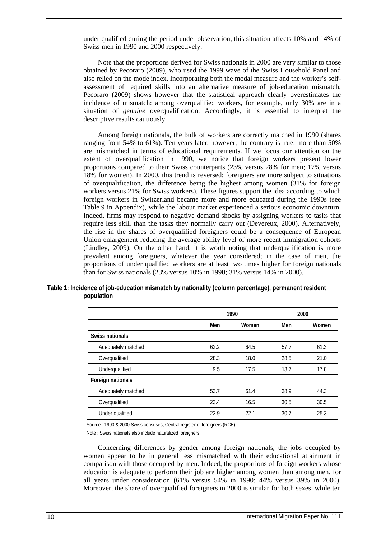under qualified during the period under observation, this situation affects 10% and 14% of Swiss men in 1990 and 2000 respectively.

Note that the proportions derived for Swiss nationals in 2000 are very similar to those obtained by Pecoraro (2009), who used the 1999 wave of the Swiss Household Panel and also relied on the mode index. Incorporating both the modal measure and the worker's selfassessment of required skills into an alternative measure of job-education mismatch, Pecoraro (2009) shows however that the statistical approach clearly overestimates the incidence of mismatch: among overqualified workers, for example, only 30% are in a situation of *genuine* overqualification. Accordingly, it is essential to interpret the descriptive results cautiously.

Among foreign nationals, the bulk of workers are correctly matched in 1990 (shares ranging from 54% to 61%). Ten years later, however, the contrary is true: more than 50% are mismatched in terms of educational requirements. If we focus our attention on the extent of overqualification in 1990, we notice that foreign workers present lower proportions compared to their Swiss counterparts (23% versus 28% for men; 17% versus 18% for women). In 2000, this trend is reversed: foreigners are more subject to situations of overqualification, the difference being the highest among women (31% for foreign workers versus 21% for Swiss workers). These figures support the idea according to which foreign workers in Switzerland became more and more educated during the 1990s (see Table 9 in Appendix), while the labour market experienced a serious economic downturn. Indeed, firms may respond to negative demand shocks by assigning workers to tasks that require less skill than the tasks they normally carry out (Devereux, 2000). Alternatively, the rise in the shares of overqualified foreigners could be a consequence of European Union enlargement reducing the average ability level of more recent immigration cohorts (Lindley, 2009). On the other hand, it is worth noting that underqualification is more prevalent among foreigners, whatever the year considered; in the case of men, the proportions of under qualified workers are at least two times higher for foreign nationals than for Swiss nationals (23% versus 10% in 1990; 31% versus 14% in 2000).

|                    |      | 1990  | 2000 |       |
|--------------------|------|-------|------|-------|
|                    | Men  | Women |      | Women |
| Swiss nationals    |      |       |      |       |
| Adequately matched | 62.2 | 64.5  | 57.7 | 61.3  |
| Overqualified      | 28.3 | 18.0  | 28.5 | 21.0  |
| Underqualified     | 9.5  | 17.5  | 13.7 | 17.8  |
| Foreign nationals  |      |       |      |       |
| Adequately matched | 53.7 | 61.4  | 38.9 | 44.3  |
| Overqualified      | 23.4 | 16.5  | 30.5 | 30.5  |
| Under qualified    | 22.9 | 22.1  | 30.7 | 25.3  |

**Table 1: Incidence of job-education mismatch by nationality (column percentage), permanent resident population** 

Source : 1990 & 2000 Swiss censuses, Central register of foreigners (RCE)

Note : Swiss nationals also include naturalized foreigners.

Concerning differences by gender among foreign nationals, the jobs occupied by women appear to be in general less mismatched with their educational attainment in comparison with those occupied by men. Indeed, the proportions of foreign workers whose education is adequate to perform their job are higher among women than among men, for all years under consideration (61% versus 54% in 1990; 44% versus 39% in 2000). Moreover, the share of overqualified foreigners in 2000 is similar for both sexes, while ten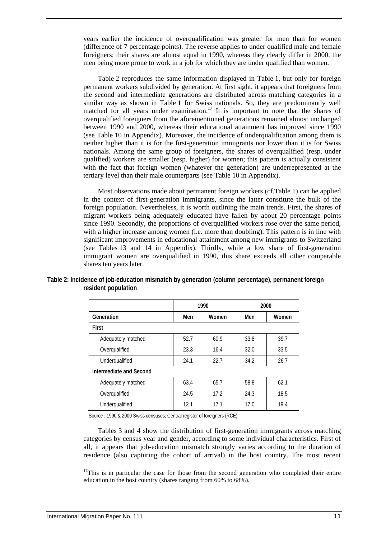years earlier the incidence of overqualification was greater for men than for women (difference of 7 percentage points). The reverse applies to under qualified male and female foreigners: their shares are almost equal in 1990, whereas they clearly differ in 2000, the men being more prone to work in a job for which they are under qualified than women.

Table 2 reproduces the same information displayed in Table 1, but only for foreign permanent workers subdivided by generation. At first sight, it appears that foreigners from the second and intermediate generations are distributed across matching categories in a similar way as shown in Table 1 for Swiss nationals. So, they are predominantly well matched for all years under examination.<sup>17</sup> It is important to note that the shares of overqualified foreigners from the aforementioned generations remained almost unchanged between 1990 and 2000, whereas their educational attainment has improved since 1990 (see Table 10 in Appendix). Moreover, the incidence of underqualification among them is neither higher than it is for the first-generation immigrants nor lower than it is for Swiss nationals. Among the same group of foreigners, the shares of overqualified (resp. under qualified) workers are smaller (resp. higher) for women; this pattern is actually consistent with the fact that foreign women (whatever the generation) are underrepresented at the tertiary level than their male counterparts (see Table 10 in Appendix).

Most observations made about permanent foreign workers (cf.Table 1) can be applied in the context of first-generation immigrants, since the latter constitute the bulk of the foreign population. Nevertheless, it is worth outlining the main trends. First, the shares of migrant workers being adequately educated have fallen by about 20 percentage points since 1990. Secondly, the proportions of overqualified workers rose over the same period, with a higher increase among women (i.e. more than doubling). This pattern is in line with significant improvements in educational attainment among new immigrants to Switzerland (see Tables 13 and 14 in Appendix). Thirdly, while a low share of first-generation immigrant women are overqualified in 1990, this share exceeds all other comparable shares ten years later.

|                         |      | 1990  | 2000 |       |
|-------------------------|------|-------|------|-------|
| Generation              | Men  | Women | Men  | Women |
| First                   |      |       |      |       |
| Adequately matched      | 52.7 | 60.9  | 33.8 | 39.7  |
| Overqualified           | 23.3 | 16.4  | 32.0 | 33.5  |
| Underqualified          | 24.1 | 22.7  | 34.2 | 26.7  |
| Intermediate and Second |      |       |      |       |
| Adequately matched      | 63.4 | 65.7  | 58.8 | 62.1  |
| Overqualified           | 24.5 | 17.2  | 24.3 | 18.5  |
| Underqualified          | 12.1 | 17.1  | 17.0 | 19.4  |

### **Table 2: Incidence of job-education mismatch by generation (column percentage), permanent foreign resident population**

Source : 1990 & 2000 Swiss censuses, Central register of foreigners (RCE)

Tables 3 and 4 show the distribution of first-generation immigrants across matching categories by census year and gender, according to some individual characteristics. First of all, it appears that job-education mismatch strongly varies according to the duration of residence (also capturing the cohort of arrival) in the host country. The most recent

 $17$ This is in particular the case for those from the second generation who completed their entire education in the host country (shares ranging from 60% to 68%).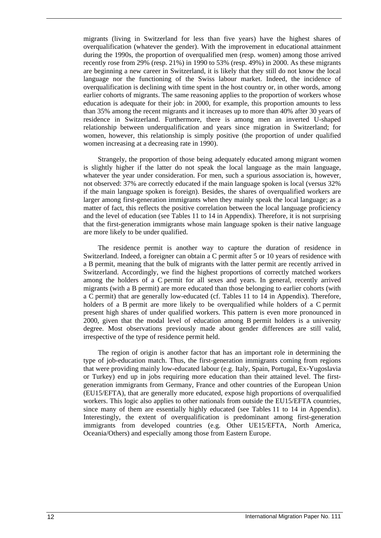migrants (living in Switzerland for less than five years) have the highest shares of overqualification (whatever the gender). With the improvement in educational attainment during the 1990s, the proportion of overqualified men (resp. women) among those arrived recently rose from 29% (resp. 21%) in 1990 to 53% (resp. 49%) in 2000. As these migrants are beginning a new career in Switzerland, it is likely that they still do not know the local language nor the functioning of the Swiss labour market. Indeed, the incidence of overqualification is declining with time spent in the host country or, in other words, among earlier cohorts of migrants. The same reasoning applies to the proportion of workers whose education is adequate for their job: in 2000, for example, this proportion amounts to less than 35% among the recent migrants and it increases up to more than 40% after 30 years of residence in Switzerland. Furthermore, there is among men an inverted U-shaped relationship between underqualification and years since migration in Switzerland; for women, however, this relationship is simply positive (the proportion of under qualified women increasing at a decreasing rate in 1990).

Strangely, the proportion of those being adequately educated among migrant women is slightly higher if the latter do not speak the local language as the main language, whatever the year under consideration. For men, such a spurious association is, however, not observed: 37% are correctly educated if the main language spoken is local (versus 32% if the main language spoken is foreign). Besides, the shares of overqualified workers are larger among first-generation immigrants when they mainly speak the local language; as a matter of fact, this reflects the positive correlation between the local language proficiency and the level of education (see Tables 11 to 14 in Appendix). Therefore, it is not surprising that the first-generation immigrants whose main language spoken is their native language are more likely to be under qualified.

The residence permit is another way to capture the duration of residence in Switzerland. Indeed, a foreigner can obtain a C permit after 5 or 10 years of residence with a B permit, meaning that the bulk of migrants with the latter permit are recently arrived in Switzerland. Accordingly, we find the highest proportions of correctly matched workers among the holders of a C permit for all sexes and years. In general, recently arrived migrants (with a B permit) are more educated than those belonging to earlier cohorts (with a C permit) that are generally low-educated (cf. Tables 11 to 14 in Appendix). Therefore, holders of a B permit are more likely to be overqualified while holders of a C permit present high shares of under qualified workers. This pattern is even more pronounced in 2000, given that the modal level of education among B permit holders is a university degree. Most observations previously made about gender differences are still valid, irrespective of the type of residence permit held.

The region of origin is another factor that has an important role in determining the type of job-education match. Thus, the first-generation immigrants coming from regions that were providing mainly low-educated labour (e.g. Italy, Spain, Portugal, Ex-Yugoslavia or Turkey) end up in jobs requiring more education than their attained level. The firstgeneration immigrants from Germany, France and other countries of the European Union (EU15/EFTA), that are generally more educated, expose high proportions of overqualified workers. This logic also applies to other nationals from outside the EU15/EFTA countries, since many of them are essentially highly educated (see Tables 11 to 14 in Appendix). Interestingly, the extent of overqualification is predominant among first-generation immigrants from developed countries (e.g. Other UE15/EFTA, North America, Oceania/Others) and especially among those from Eastern Europe.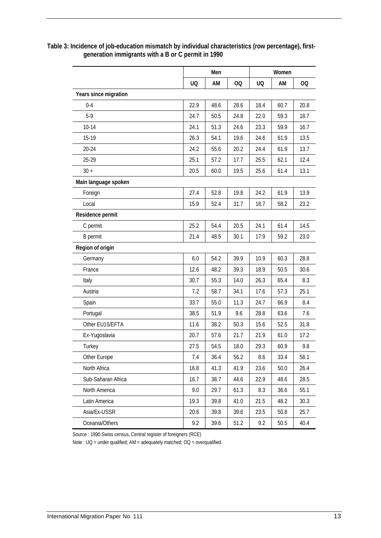|                       | Men  |      |      |      | Women |      |  |
|-----------------------|------|------|------|------|-------|------|--|
|                       | UQ.  | AM   | OQ.  | UQ   | AM    | OQ   |  |
| Years since migration |      |      |      |      |       |      |  |
| $0 - 4$               | 22.9 | 48.6 | 28.6 | 18.4 | 60.7  | 20.8 |  |
| $5-9$                 | 24.7 | 50.5 | 24.8 | 22.0 | 59.3  | 18.7 |  |
| $10 - 14$             | 24.1 | 51.3 | 24.6 | 23.3 | 59.9  | 16.7 |  |
| 15-19                 | 26.3 | 54.1 | 19.6 | 24.6 | 61.9  | 13.5 |  |
| $20 - 24$             | 24.2 | 55.6 | 20.2 | 24.4 | 61.9  | 13.7 |  |
| 25-29                 | 25.1 | 57.2 | 17.7 | 25.5 | 62.1  | 12.4 |  |
| $30 +$                | 20.5 | 60.0 | 19.5 | 25.6 | 61.4  | 13.1 |  |
| Main language spoken  |      |      |      |      |       |      |  |
| Foreign               | 27.4 | 52.8 | 19.8 | 24.2 | 61.9  | 13.9 |  |
| Local                 | 15.9 | 52.4 | 31.7 | 18.7 | 58.2  | 23.2 |  |
| Residence permit      |      |      |      |      |       |      |  |
| C permit              | 25.2 | 54.4 | 20.5 | 24.1 | 61.4  | 14.5 |  |
| <b>B</b> permit       | 21.4 | 48.5 | 30.1 | 17.9 | 59.2  | 23.0 |  |
| Region of origin      |      |      |      |      |       |      |  |
| Germany               | 6.0  | 54.2 | 39.9 | 10.9 | 60.3  | 28.8 |  |
| France                | 12.6 | 48.2 | 39.3 | 18.9 | 50.5  | 30.6 |  |
| Italy                 | 30.7 | 55.3 | 14.0 | 26.3 | 65.4  | 8.3  |  |
| Austria               | 7.2  | 58.7 | 34.1 | 17.6 | 57.3  | 25.1 |  |
| Spain                 | 33.7 | 55.0 | 11.3 | 24.7 | 66.9  | 8.4  |  |
| Portugal              | 38.5 | 51.9 | 9.6  | 28.8 | 63.6  | 7.6  |  |
| Other EU15/EFTA       | 11.6 | 38.2 | 50.3 | 15.6 | 52.5  | 31.8 |  |
| Ex-Yugoslavia         | 20.7 | 57.6 | 21.7 | 21.9 | 61.0  | 17.2 |  |
| Turkey                | 27.5 | 54.5 | 18.0 | 29.3 | 60.9  | 9.8  |  |
| Other Europe          | 7.4  | 36.4 | 56.2 | 8.6  | 33.4  | 58.1 |  |
| North Africa          | 16.8 | 41.3 | 41.9 | 23.6 | 50.0  | 26.4 |  |
| Sub-Saharan Africa    | 16.7 | 38.7 | 44.6 | 22.9 | 48.6  | 28.5 |  |
| North America         | 9.0  | 29.7 | 61.3 | 8.3  | 36.6  | 55.1 |  |
| Latin America         | 19.3 | 39.8 | 41.0 | 21.5 | 48.2  | 30.3 |  |
| Asia/Ex-USSR          | 20.6 | 39.8 | 39.6 | 23.5 | 50.8  | 25.7 |  |
| Oceania/Others        | 9.2  | 39.6 | 51.2 | 9.2  | 50.5  | 40.4 |  |

### **Table 3: Incidence of job-education mismatch by individual characteristics (row percentage), firstgeneration immigrants with a B or C permit in 1990**

Source : 1990 Swiss census, Central register of foreigners (RCE)

Note : UQ = under qualified; AM = adequately matched; OQ = overqualified.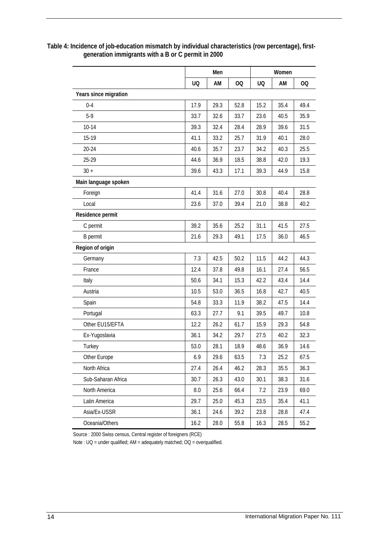|                       | Men       |      |      |      |      |      |
|-----------------------|-----------|------|------|------|------|------|
|                       | UQ        | AM   | OQ   | UQ   | AM   | OQ   |
| Years since migration |           |      |      |      |      |      |
| $0 - 4$               | 17.9      | 29.3 | 52.8 | 15.2 | 35.4 | 49.4 |
| $5-9$                 | 33.7      | 32.6 | 33.7 | 23.6 | 40.5 | 35.9 |
| $10 - 14$             | 39.3      | 32.4 | 28.4 | 28.9 | 39.6 | 31.5 |
| 15-19                 | 41.1      | 33.2 | 25.7 | 31.9 | 40.1 | 28.0 |
| 20-24                 | 40.6      | 35.7 | 23.7 | 34.2 | 40.3 | 25.5 |
| 25-29                 | 44.6      | 36.9 | 18.5 | 38.8 | 42.0 | 19.3 |
| $30 +$                | 39.6      | 43.3 | 17.1 | 39.3 | 44.9 | 15.8 |
| Main language spoken  |           |      |      |      |      |      |
| Foreign               | 41.4      | 31.6 | 27.0 | 30.8 | 40.4 | 28.8 |
| Local                 | 23.6      | 37.0 | 39.4 | 21.0 | 38.8 | 40.2 |
| Residence permit      |           |      |      |      |      |      |
| C permit              | 39.2      | 35.6 | 25.2 | 31.1 | 41.5 | 27.5 |
| <b>B</b> permit       | 21.6      | 29.3 | 49.1 | 17.5 | 36.0 | 46.5 |
| Region of origin      |           |      |      |      |      |      |
| Germany               | 7.3       | 42.5 | 50.2 | 11.5 | 44.2 | 44.3 |
| France                | 12.4      | 37.8 | 49.8 | 16.1 | 27.4 | 56.5 |
| Italy                 | 50.6      | 34.1 | 15.3 | 42.2 | 43.4 | 14.4 |
| Austria               | 10.5      | 53.0 | 36.5 | 16.8 | 42.7 | 40.5 |
| Spain                 | 54.8      | 33.3 | 11.9 | 38.2 | 47.5 | 14.4 |
| Portugal              | 63.3      | 27.7 | 9.1  | 39.5 | 49.7 | 10.8 |
| Other EU15/EFTA       | 12.2      | 26.2 | 61.7 | 15.9 | 29.3 | 54.8 |
| Ex-Yugoslavia         | 36.1      | 34.2 | 29.7 | 27.5 | 40.2 | 32.3 |
| Turkey                | 53.0      | 28.1 | 18.9 | 48.6 | 36.9 | 14.6 |
| Other Europe          | 6.9       | 29.6 | 63.5 | 7.3  | 25.2 | 67.5 |
| North Africa          | 27.4      | 26.4 | 46.2 | 28.3 | 35.5 | 36.3 |
| Sub-Saharan Africa    | 30.7      | 26.3 | 43.0 | 30.1 | 38.3 | 31.6 |
| North America         | $\rm 8.0$ | 25.6 | 66.4 | 7.2  | 23.9 | 69.0 |
| Latin America         | 29.7      | 25.0 | 45.3 | 23.5 | 35.4 | 41.1 |
| Asia/Ex-USSR          | 36.1      | 24.6 | 39.2 | 23.8 | 28.8 | 47.4 |
| Oceania/Others        | 16.2      | 28.0 | 55.8 | 16.3 | 28.5 | 55.2 |

### **Table 4: Incidence of job-education mismatch by individual characteristics (row percentage), firstgeneration immigrants with a B or C permit in 2000**

Source : 2000 Swiss census, Central register of foreigners (RCE)

Note : UQ = under qualified; AM = adequately matched; OQ = overqualified.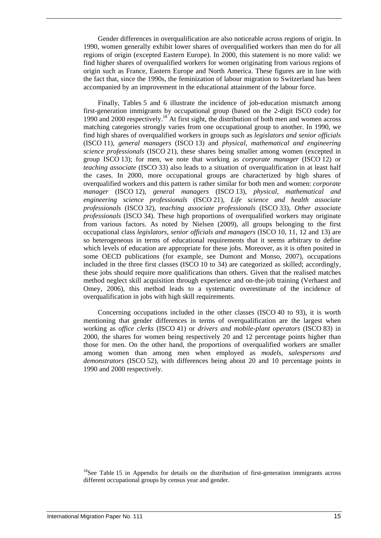Gender differences in overqualification are also noticeable across regions of origin. In 1990, women generally exhibit lower shares of overqualified workers than men do for all regions of origin (excepted Eastern Europe). In 2000, this statement is no more valid: we find higher shares of overqualified workers for women originating from various regions of origin such as France, Eastern Europe and North America. These figures are in line with the fact that, since the 1990s, the feminization of labour migration to Switzerland has been accompanied by an improvement in the educational attainment of the labour force.

Finally, Tables 5 and 6 illustrate the incidence of job-education mismatch among first-generation immigrants by occupational group (based on the 2-digit ISCO code) for 1990 and 2000 respectively.18 At first sight, the distribution of both men and women across matching categories strongly varies from one occupational group to another. In 1990, we find high shares of overqualified workers in groups such as *legislators and senior officials* (ISCO 11), *general managers* (ISCO 13) and *physical, mathematical and engineering science professionals* (ISCO 21), these shares being smaller among women (excepted in group ISCO 13); for men, we note that working as *corporate manager* (ISCO 12) or *teaching associate* (ISCO 33) also leads to a situation of overqualification in at least half the cases. In 2000, more occupational groups are characterized by high shares of overqualified workers and this pattern is rather similar for both men and women: *corporate manager* (ISCO 12), *general managers* (ISCO 13), *physical, mathematical and engineering science professionals* (ISCO 21), *Life science and health associate professionals* (ISCO 32), *teaching associate professionals* (ISCO 33), *Other associate professionals* (ISCO 34). These high proportions of overqualified workers may originate from various factors. As noted by Nielsen (2009), all groups belonging to the first occupational class *legislators, senior officials and managers* (ISCO 10, 11, 12 and 13) are so heterogeneous in terms of educational requirements that it seems arbitrary to define which levels of education are appropriate for these jobs. Moreover, as it is often posited in some OECD publications (for example, see Dumont and Monso, 2007), occupations included in the three first classes (ISCO 10 to 34) are categorized as skilled; accordingly, these jobs should require more qualifications than others. Given that the realised matches method neglect skill acquisition through experience and on-the-job training (Verhaest and Omey, 2006), this method leads to a systematic overestimate of the incidence of overqualification in jobs with high skill requirements.

Concerning occupations included in the other classes (ISCO 40 to 93), it is worth mentioning that gender differences in terms of overqualification are the largest when working as *office clerks* (ISCO 41) or *drivers and mobile-plant operators* (ISCO 83) in 2000, the shares for women being respectively 20 and 12 percentage points higher than those for men. On the other hand, the proportions of overqualified workers are smaller among women than among men when employed as *models, salespersons and demonstrators* (ISCO 52), with differences being about 20 and 10 percentage points in 1990 and 2000 respectively.

 $18$ See Table 15 in Appendix for details on the distribution of first-generation immigrants across different occupational groups by census year and gender.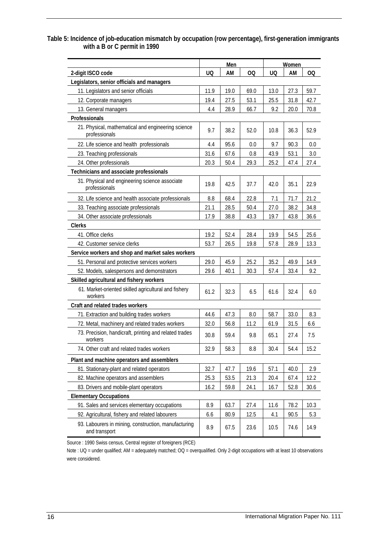### **Table 5: Incidence of job-education mismatch by occupation (row percentage), first-generation immigrants with a B or C permit in 1990**

|                                                                       | Men  |      | Women |           |      |      |
|-----------------------------------------------------------------------|------|------|-------|-----------|------|------|
| 2-digit ISCO code                                                     | UQ.  | AM   | 00    | <b>UQ</b> | AM   | 0Q   |
| Legislators, senior officials and managers                            |      |      |       |           |      |      |
| 11. Legislators and senior officials                                  | 11.9 | 19.0 | 69.0  | 13.0      | 27.3 | 59.7 |
| 12. Corporate managers                                                | 19.4 | 27.5 | 53.1  | 25.5      | 31.8 | 42.7 |
| 13. General managers                                                  | 4.4  | 28.9 | 66.7  | 9.2       | 20.0 | 70.8 |
| Professionals                                                         |      |      |       |           |      |      |
| 21. Physical, mathematical and engineering science<br>professionals   | 9.7  | 38.2 | 52.0  | 10.8      | 36.3 | 52.9 |
| 22. Life science and health professionals                             | 4.4  | 95.6 | 0.0   | 9.7       | 90.3 | 0.0  |
| 23. Teaching professionals                                            | 31.6 | 67.6 | 0.8   | 43.9      | 53.1 | 3.0  |
| 24. Other professionals                                               | 20.3 | 50.4 | 29.3  | 25.2      | 47.4 | 27.4 |
| Technicians and associate professionals                               |      |      |       |           |      |      |
| 31. Physical and engineering science associate<br>professionals       | 19.8 | 42.5 | 37.7  | 42.0      | 35.1 | 22.9 |
| 32. Life science and health associate professionals                   | 8.8  | 68.4 | 22.8  | 7.1       | 71.7 | 21.2 |
| 33. Teaching associate professionals                                  | 21.1 | 28.5 | 50.4  | 27.0      | 38.2 | 34.8 |
| 34. Other associate professionals                                     | 17.9 | 38.8 | 43.3  | 19.7      | 43.8 | 36.6 |
| <b>Clerks</b>                                                         |      |      |       |           |      |      |
| 41. Office clerks                                                     | 19.2 | 52.4 | 28.4  | 19.9      | 54.5 | 25.6 |
| 42. Customer service clerks                                           | 53.7 | 26.5 | 19.8  | 57.8      | 28.9 | 13.3 |
| Service workers and shop and market sales workers                     |      |      |       |           |      |      |
| 51. Personal and protective services workers                          | 29.0 | 45.9 | 25.2  | 35.2      | 49.9 | 14.9 |
| 52. Models, salespersons and demonstrators                            | 29.6 | 40.1 | 30.3  | 57.4      | 33.4 | 9.2  |
| Skilled agricultural and fishery workers                              |      |      |       |           |      |      |
| 61. Market-oriented skilled agricultural and fishery<br>workers       | 61.2 | 32.3 | 6.5   | 61.6      | 32.4 | 6.0  |
| Craft and related trades workers                                      |      |      |       |           |      |      |
| 71. Extraction and building trades workers                            | 44.6 | 47.3 | 8.0   | 58.7      | 33.0 | 8.3  |
| 72. Metal, machinery and related trades workers                       | 32.0 | 56.8 | 11.2  | 61.9      | 31.5 | 6.6  |
| 73. Precision, handicraft, printing and related trades<br>workers     | 30.8 | 59.4 | 9.8   | 65.1      | 27.4 | 7.5  |
| 74. Other craft and related trades workers                            | 32.9 | 58.3 | 8.8   | 30.4      | 54.4 | 15.2 |
| Plant and machine operators and assemblers                            |      |      |       |           |      |      |
| 81. Stationary-plant and related operators                            | 32.7 | 47.7 | 19.6  | 57.1      | 40.0 | 2.9  |
| 82. Machine operators and assemblers                                  | 25.3 | 53.5 | 21.3  | 20.4      | 67.4 | 12.2 |
| 83. Drivers and mobile-plant operators                                | 16.2 | 59.8 | 24.1  | 16.7      | 52.8 | 30.6 |
| <b>Elementary Occupations</b>                                         |      |      |       |           |      |      |
| 91. Sales and services elementary occupations                         | 8.9  | 63.7 | 27.4  | 11.6      | 78.2 | 10.3 |
| 92. Agricultural, fishery and related labourers                       | 6.6  | 80.9 | 12.5  | 4.1       | 90.5 | 5.3  |
| 93. Labourers in mining, construction, manufacturing<br>and transport | 8.9  | 67.5 | 23.6  | 10.5      | 74.6 | 14.9 |

Source : 1990 Swiss census, Central register of foreigners (RCE)

Note : UQ = under qualified; AM = adequately matched; OQ = overqualified. Only 2-digit occupations with at least 10 observations were considered.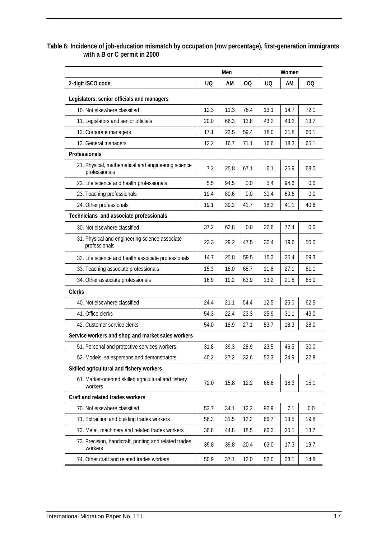### **Table 6: Incidence of job-education mismatch by occupation (row percentage), first-generation immigrants with a B or C permit in 2000**

|                                                                     | Men  |           | Women     |      |      |           |
|---------------------------------------------------------------------|------|-----------|-----------|------|------|-----------|
| 2-digit ISCO code                                                   | UQ.  | <b>AM</b> | <b>OQ</b> | UQ.  | AM   | <b>OQ</b> |
| Legislators, senior officials and managers                          |      |           |           |      |      |           |
| 10. Not elsewhere classified                                        | 12.3 | 11.3      | 76.4      | 13.1 | 14.7 | 72.1      |
| 11. Legislators and senior officials                                | 20.0 | 66.3      | 13.8      | 43.2 | 43.2 | 13.7      |
| 12. Corporate managers                                              | 17.1 | 23.5      | 59.4      | 18.0 | 21.8 | 60.1      |
| 13. General managers                                                | 12.2 | 16.7      | 71.1      | 16.6 | 18.3 | 65.1      |
| Professionals                                                       |      |           |           |      |      |           |
| 21. Physical, mathematical and engineering science<br>professionals | 7.2  | 25.8      | 67.1      | 6.1  | 25.9 | 68.0      |
| 22. Life science and health professionals                           | 5.5  | 94.5      | 0.0       | 5.4  | 94.6 | 0.0       |
| 23. Teaching professionals                                          | 19.4 | 80.6      | 0.0       | 30.4 | 69.6 | 0.0       |
| 24. Other professionals                                             | 19.1 | 39.2      | 41.7      | 18.3 | 41.1 | 40.6      |
| Technicians and associate professionals                             |      |           |           |      |      |           |
| 30. Not elsewhere classified                                        | 37.2 | 62.8      | 0.0       | 22.6 | 77.4 | 0.0       |
| 31. Physical and engineering science associate<br>professionals     | 23.3 | 29.2      | 47.5      | 30.4 | 19.6 | 50.0      |
| 32. Life science and health associate professionals                 | 14.7 | 25.8      | 59.5      | 15.3 | 25.4 | 59.3      |
| 33. Teaching associate professionals                                | 15.3 | 16.0      | 68.7      | 11.8 | 27.1 | 61.1      |
| 34. Other associate professionals                                   | 16.9 | 19.2      | 63.9      | 13.2 | 21.8 | 65.0      |
| <b>Clerks</b>                                                       |      |           |           |      |      |           |
| 40. Not elsewhere classified                                        | 24.4 | 21.1      | 54.4      | 12.5 | 25.0 | 62.5      |
| 41. Office clerks                                                   | 54.3 | 22.4      | 23.3      | 25.9 | 31.1 | 43.0      |
| 42. Customer service clerks                                         | 54.0 | 18.9      | 27.1      | 53.7 | 18.3 | 28.0      |
| Service workers and shop and market sales workers                   |      |           |           |      |      |           |
| 51. Personal and protective services workers                        | 31.8 | 39.3      | 28.9      | 23.5 | 46.5 | 30.0      |
| 52. Models, salespersons and demonstrators                          | 40.2 | 27.2      | 32.6      | 52.3 | 24.9 | 22.8      |
| Skilled agricultural and fishery workers                            |      |           |           |      |      |           |
| 61. Market-oriented skilled agricultural and fishery<br>workers     | 72.0 | 15.8      | 12.2      | 66.6 | 18.3 | 15.1      |
| Craft and related trades workers                                    |      |           |           |      |      |           |
| 70. Not elsewhere classified                                        | 53.7 | 34.1      | 12.2      | 92.9 | 7.1  | 0.0       |
| 71. Extraction and building trades workers                          | 56.3 | 31.5      | 12.2      | 66.7 | 13.5 | 19.8      |
| 72. Metal, machinery and related trades workers                     | 36.8 | 44.8      | 18.5      | 66.3 | 20.1 | 13.7      |
| 73. Precision, handicraft, printing and related trades<br>workers   | 39.8 | 39.8      | 20.4      | 63.0 | 17.3 | 19.7      |
| 74. Other craft and related trades workers                          | 50.9 | 37.1      | 12.0      | 52.0 | 33.1 | 14.8      |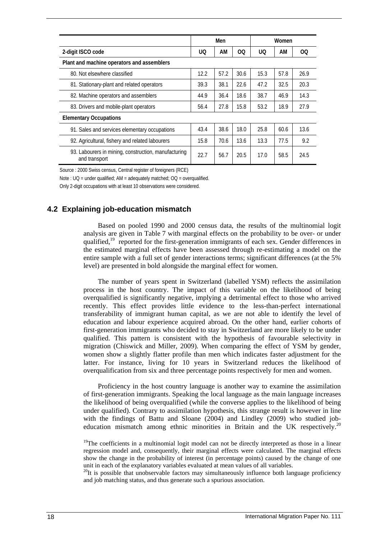|                                                                       | Men  |      | Women |      |      |      |
|-----------------------------------------------------------------------|------|------|-------|------|------|------|
| 2-digit ISCO code                                                     | UQ.  | АM   | 00    | UQ.  | AM   | 00   |
| Plant and machine operators and assemblers                            |      |      |       |      |      |      |
| 80. Not elsewhere classified                                          | 12.2 | 57.2 | 30.6  | 15.3 | 57.8 | 26.9 |
| 81. Stationary-plant and related operators                            | 39.3 | 38.1 | 22.6  | 47.2 | 32.5 | 20.3 |
| 82. Machine operators and assemblers                                  | 44.9 | 36.4 | 18.6  | 38.7 | 46.9 | 14.3 |
| 83. Drivers and mobile-plant operators                                | 56.4 | 27.8 | 15.8  | 53.2 | 18.9 | 27.9 |
| <b>Elementary Occupations</b>                                         |      |      |       |      |      |      |
| 91. Sales and services elementary occupations                         | 43.4 | 38.6 | 18.0  | 25.8 | 60.6 | 13.6 |
| 92. Agricultural, fishery and related labourers                       | 15.8 | 70.6 | 13.6  | 13.3 | 77.5 | 9.2  |
| 93. Labourers in mining, construction, manufacturing<br>and transport | 22.7 | 56.7 | 20.5  | 17.0 | 58.5 | 24.5 |

Source : 2000 Swiss census, Central register of foreigners (RCE)

Note : UQ = under qualified; AM = adequately matched; OQ = overqualified.

Only 2-digit occupations with at least 10 observations were considered.

### **4.2 Explaining job-education mismatch**

Based on pooled 1990 and 2000 census data, the results of the multinomial logit analysis are given in Table 7 with marginal effects on the probability to be over- or under qualified,<sup>19</sup> reported for the first-generation immigrants of each sex. Gender differences in the estimated marginal effects have been assessed through re-estimating a model on the entire sample with a full set of gender interactions terms; significant differences (at the 5% level) are presented in bold alongside the marginal effect for women.

The number of years spent in Switzerland (labelled YSM) reflects the assimilation process in the host country. The impact of this variable on the likelihood of being overqualified is significantly negative, implying a detrimental effect to those who arrived recently. This effect provides little evidence to the less-than-perfect international transferability of immigrant human capital, as we are not able to identify the level of education and labour experience acquired abroad. On the other hand, earlier cohorts of first-generation immigrants who decided to stay in Switzerland are more likely to be under qualified. This pattern is consistent with the hypothesis of favourable selectivity in migration (Chiswick and Miller, 2009). When comparing the effect of YSM by gender, women show a slightly flatter profile than men which indicates faster adjustment for the latter. For instance, living for 10 years in Switzerland reduces the likelihood of overqualification from six and three percentage points respectively for men and women.

Proficiency in the host country language is another way to examine the assimilation of first-generation immigrants. Speaking the local language as the main language increases the likelihood of being overqualified (while the converse applies to the likelihood of being under qualified). Contrary to assimilation hypothesis, this strange result is however in line with the findings of Battu and Sloane (2004) and Lindley (2009) who studied jobeducation mismatch among ethnic minorities in Britain and the UK respectively.<sup>20</sup>

 $19$ The coefficients in a multinomial logit model can not be directly interpreted as those in a linear regression model and, consequently, their marginal effects were calculated. The marginal effects show the change in the probability of interest (in percentage points) caused by the change of one unit in each of the explanatory variables evaluated at mean values of all variables.<br><sup>20</sup>It is possible that unobservable factors may simultaneously influence both language proficiency

and job matching status, and thus generate such a spurious association.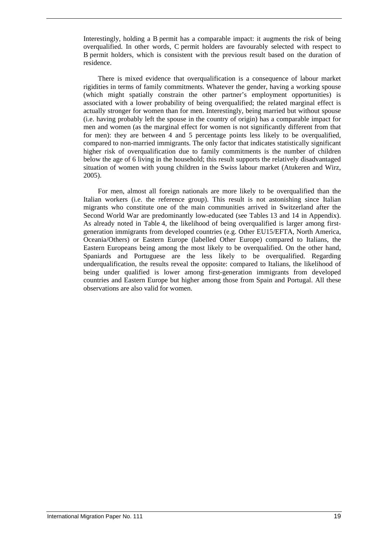Interestingly, holding a B permit has a comparable impact: it augments the risk of being overqualified. In other words, C permit holders are favourably selected with respect to B permit holders, which is consistent with the previous result based on the duration of residence.

There is mixed evidence that overqualification is a consequence of labour market rigidities in terms of family commitments. Whatever the gender, having a working spouse (which might spatially constrain the other partner's employment opportunities) is associated with a lower probability of being overqualified; the related marginal effect is actually stronger for women than for men. Interestingly, being married but without spouse (i.e. having probably left the spouse in the country of origin) has a comparable impact for men and women (as the marginal effect for women is not significantly different from that for men): they are between 4 and 5 percentage points less likely to be overqualified, compared to non-married immigrants. The only factor that indicates statistically significant higher risk of overqualification due to family commitments is the number of children below the age of 6 living in the household; this result supports the relatively disadvantaged situation of women with young children in the Swiss labour market (Atukeren and Wirz, 2005).

For men, almost all foreign nationals are more likely to be overqualified than the Italian workers (i.e. the reference group). This result is not astonishing since Italian migrants who constitute one of the main communities arrived in Switzerland after the Second World War are predominantly low-educated (see Tables 13 and 14 in Appendix). As already noted in Table 4, the likelihood of being overqualified is larger among firstgeneration immigrants from developed countries (e.g. Other EU15/EFTA, North America, Oceania/Others) or Eastern Europe (labelled Other Europe) compared to Italians, the Eastern Europeans being among the most likely to be overqualified. On the other hand, Spaniards and Portuguese are the less likely to be overqualified. Regarding underqualification, the results reveal the opposite: compared to Italians, the likelihood of being under qualified is lower among first-generation immigrants from developed countries and Eastern Europe but higher among those from Spain and Portugal. All these observations are also valid for women.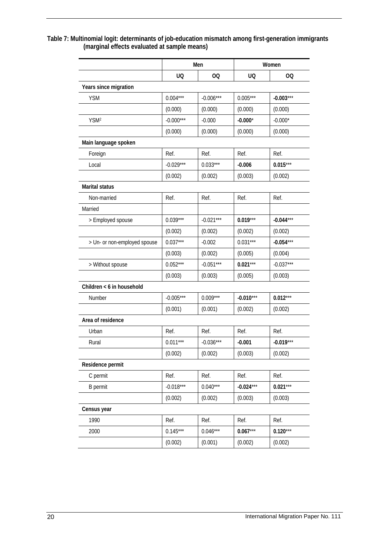|                              |             | Men         |             | Women       |  |  |
|------------------------------|-------------|-------------|-------------|-------------|--|--|
|                              | <b>UQ</b>   | OQ          | UQ          | OQ          |  |  |
| Years since migration        |             |             |             |             |  |  |
| <b>YSM</b>                   | $0.004***$  | $-0.006***$ | $0.005***$  | $-0.003***$ |  |  |
|                              | (0.000)     | (0.000)     | (0.000)     | (0.000)     |  |  |
| YSM <sup>2</sup>             | $-0.000***$ | $-0.000$    | $-0.000*$   | $-0.000*$   |  |  |
|                              | (0.000)     | (0.000)     | (0.000)     | (0.000)     |  |  |
| Main language spoken         |             |             |             |             |  |  |
| Foreign                      | Ref.        | Ref.        | Ref.        | Ref.        |  |  |
| Local                        | $-0.029***$ | $0.033***$  | $-0.006$    | $0.015***$  |  |  |
|                              | (0.002)     | (0.002)     | (0.003)     | (0.002)     |  |  |
| <b>Marital status</b>        |             |             |             |             |  |  |
| Non-married                  | Ref.        | Ref.        | Ref.        | Ref.        |  |  |
| Married                      |             |             |             |             |  |  |
| > Employed spouse            | $0.039***$  | $-0.021***$ | $0.019***$  | $-0.044***$ |  |  |
|                              | (0.002)     | (0.002)     | (0.002)     | (0.002)     |  |  |
| > Un- or non-employed spouse | $0.037***$  | $-0.002$    | $0.031***$  | $-0.054***$ |  |  |
|                              | (0.003)     | (0.002)     | (0.005)     | (0.004)     |  |  |
| > Without spouse             | $0.052***$  | $-0.051***$ | $0.021***$  | $-0.037***$ |  |  |
|                              | (0.003)     | (0.003)     | (0.005)     | (0.003)     |  |  |
| Children < 6 in household    |             |             |             |             |  |  |
| Number                       | $-0.005***$ | $0.009***$  | $-0.010***$ | $0.012***$  |  |  |
|                              | (0.001)     | (0.001)     | (0.002)     | (0.002)     |  |  |
| Area of residence            |             |             |             |             |  |  |
| Urban                        | Ref.        | Ref.        | Ref.        | Ref.        |  |  |
| Rural                        | $0.011***$  | $-0.036***$ | $-0.001$    | $-0.019***$ |  |  |
|                              | (0.002)     | (0.002)     | (0.003)     | (0.002)     |  |  |
| Residence permit             |             |             |             |             |  |  |
| C permit                     | Ref.        | Ref.        | Ref.        | Ref.        |  |  |
| <b>B</b> permit              | $-0.018***$ | $0.040***$  | $-0.024***$ | $0.021***$  |  |  |
|                              | (0.002)     | (0.002)     | (0.003)     | (0.003)     |  |  |
| Census year                  |             |             |             |             |  |  |
| 1990                         | Ref.        | Ref.        | Ref.        | Ref.        |  |  |
| 2000                         | $0.145***$  | $0.046***$  | $0.067***$  | $0.120***$  |  |  |
|                              | (0.002)     | (0.001)     | (0.002)     | (0.002)     |  |  |

### **Table 7: Multinomial logit: determinants of job-education mismatch among first-generation immigrants (marginal effects evaluated at sample means)**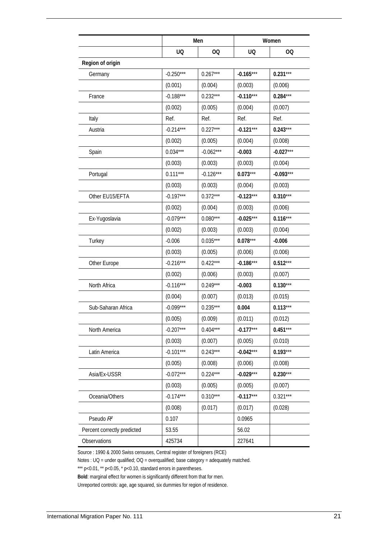|                             | Men         |             |             | Women       |
|-----------------------------|-------------|-------------|-------------|-------------|
|                             | UQ          | 0Q          | <b>UQ</b>   | 00          |
| Region of origin            |             |             |             |             |
| Germany                     | $-0.250***$ | $0.267***$  | $-0.165***$ | $0.231***$  |
|                             | (0.001)     | (0.004)     | (0.003)     | (0.006)     |
| France                      | $-0.188***$ | $0.232***$  | $-0.110***$ | $0.284***$  |
|                             | (0.002)     | (0.005)     | (0.004)     | (0.007)     |
| Italy                       | Ref.        | Ref.        | Ref.        | Ref.        |
| Austria                     | $-0.214***$ | $0.227***$  | $-0.121***$ | $0.243***$  |
|                             | (0.002)     | (0.005)     | (0.004)     | (0.008)     |
| Spain                       | $0.034***$  | $-0.062***$ | $-0.003$    | $-0.027***$ |
|                             | (0.003)     | (0.003)     | (0.003)     | (0.004)     |
| Portugal                    | $0.111***$  | $-0.126***$ | $0.073***$  | $-0.093***$ |
|                             | (0.003)     | (0.003)     | (0.004)     | (0.003)     |
| Other EU15/EFTA             | $-0.197***$ | $0.372***$  | $-0.123***$ | $0.310***$  |
|                             | (0.002)     | (0.004)     | (0.003)     | (0.006)     |
| Ex-Yugoslavia               | $-0.079***$ | $0.080***$  | $-0.025***$ | $0.116***$  |
|                             | (0.002)     | (0.003)     | (0.003)     | (0.004)     |
| Turkey                      | $-0.006$    | $0.035***$  | $0.078***$  | $-0.006$    |
|                             | (0.003)     | (0.005)     | (0.006)     | (0.006)     |
| Other Europe                | $-0.216***$ | $0.422***$  | $-0.186***$ | $0.512***$  |
|                             | (0.002)     | (0.006)     | (0.003)     | (0.007)     |
| North Africa                | $-0.116***$ | $0.249***$  | $-0.003$    | $0.130***$  |
|                             | (0.004)     | (0.007)     | (0.013)     | (0.015)     |
| Sub-Saharan Africa          | $-0.099***$ | $0.235***$  | 0.004       | $0.113***$  |
|                             | (0.005)     | (0.009)     | (0.011)     | (0.012)     |
| North America               | $-0.207***$ | $0.404***$  | $-0.177***$ | $0.451***$  |
|                             | (0.003)     | (0.007)     | (0.005)     | (0.010)     |
| Latin America               | $-0.101***$ | $0.243***$  | $-0.042***$ | $0.193***$  |
|                             | (0.005)     | (0.008)     | (0.006)     | (0.008)     |
| Asia/Ex-USSR                | $-0.072***$ | $0.224***$  | $-0.029***$ | $0.230***$  |
|                             | (0.003)     | (0.005)     | (0.005)     | (0.007)     |
| Oceania/Others              | $-0.174***$ | $0.310***$  | $-0.117***$ | $0.321***$  |
|                             | (0.008)     | (0.017)     | (0.017)     | (0.028)     |
| Pseudo $R^2$                | 0.107       |             | 0.0965      |             |
| Percent correctly predicted | 53.55       |             | 56.02       |             |
| Observations                | 425734      |             | 227641      |             |

Source : 1990 & 2000 Swiss censuses, Central register of foreigners (RCE)

Notes : UQ = under qualified; OQ = overqualified; base category = adequately matched.

\*\*\* p<0.01, \*\* p<0.05, \* p<0.10, standard errors in parentheses.

**Bold**: marginal effect for women is significantly different from that for men.

Unreported controls: age, age squared, six dummies for region of residence.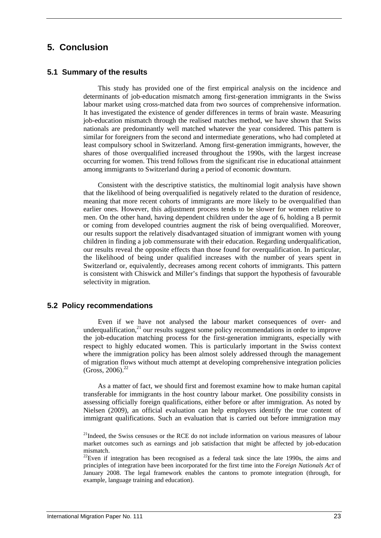## **5. Conclusion**

### **5.1 Summary of the results**

This study has provided one of the first empirical analysis on the incidence and determinants of job-education mismatch among first-generation immigrants in the Swiss labour market using cross-matched data from two sources of comprehensive information. It has investigated the existence of gender differences in terms of brain waste. Measuring job-education mismatch through the realised matches method, we have shown that Swiss nationals are predominantly well matched whatever the year considered. This pattern is similar for foreigners from the second and intermediate generations, who had completed at least compulsory school in Switzerland. Among first-generation immigrants, however, the shares of those overqualified increased throughout the 1990s, with the largest increase occurring for women. This trend follows from the significant rise in educational attainment among immigrants to Switzerland during a period of economic downturn.

Consistent with the descriptive statistics, the multinomial logit analysis have shown that the likelihood of being overqualified is negatively related to the duration of residence, meaning that more recent cohorts of immigrants are more likely to be overqualified than earlier ones. However, this adjustment process tends to be slower for women relative to men. On the other hand, having dependent children under the age of 6, holding a B permit or coming from developed countries augment the risk of being overqualified. Moreover, our results support the relatively disadvantaged situation of immigrant women with young children in finding a job commensurate with their education. Regarding underqualification, our results reveal the opposite effects than those found for overqualification. In particular, the likelihood of being under qualified increases with the number of years spent in Switzerland or, equivalently, decreases among recent cohorts of immigrants. This pattern is consistent with Chiswick and Miller's findings that support the hypothesis of favourable selectivity in migration.

### **5.2 Policy recommendations**

Even if we have not analysed the labour market consequences of over- and underqualification, $21$  our results suggest some policy recommendations in order to improve the job-education matching process for the first-generation immigrants, especially with respect to highly educated women. This is particularly important in the Swiss context where the immigration policy has been almost solely addressed through the management of migration flows without much attempt at developing comprehensive integration policies  $(Gross, 2006).^{22}$ 

As a matter of fact, we should first and foremost examine how to make human capital transferable for immigrants in the host country labour market. One possibility consists in assessing officially foreign qualifications, either before or after immigration. As noted by Nielsen (2009), an official evaluation can help employers identify the true content of immigrant qualifications. Such an evaluation that is carried out before immigration may

<sup>&</sup>lt;sup>21</sup>Indeed, the Swiss censuses or the RCE do not include information on various measures of labour market outcomes such as earnings and job satisfaction that might be affected by job-education mismatch.

 $^{22}$ Even if integration has been recognised as a federal task since the late 1990s, the aims and principles of integration have been incorporated for the first time into the *Foreign Nationals Act* of January 2008. The legal framework enables the cantons to promote integration (through, for example, language training and education).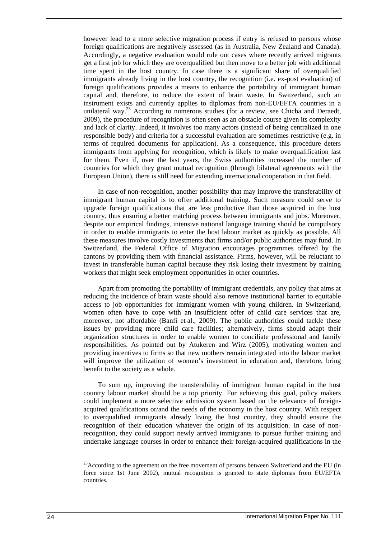however lead to a more selective migration process if entry is refused to persons whose foreign qualifications are negatively assessed (as in Australia, New Zealand and Canada). Accordingly, a negative evaluation would rule out cases where recently arrived migrants get a first job for which they are overqualified but then move to a better job with additional time spent in the host country. In case there is a significant share of overqualified immigrants already living in the host country, the recognition (i.e. ex-post evaluation) of foreign qualifications provides a means to enhance the portability of immigrant human capital and, therefore, to reduce the extent of brain waste. In Switzerland, such an instrument exists and currently applies to diplomas from non-EU/EFTA countries in a unilateral way.<sup>23</sup> According to numerous studies (for a review, see Chicha and Deraedt, 2009), the procedure of recognition is often seen as an obstacle course given its complexity and lack of clarity. Indeed, it involves too many actors (instead of being centralized in one responsible body) and criteria for a successful evaluation are sometimes restrictive (e.g. in terms of required documents for application). As a consequence, this procedure deters immigrants from applying for recognition, which is likely to make overqualification last for them. Even if, over the last years, the Swiss authorities increased the number of countries for which they grant mutual recognition (through bilateral agreements with the European Union), there is still need for extending international cooperation in that field.

In case of non-recognition, another possibility that may improve the transferability of immigrant human capital is to offer additional training. Such measure could serve to upgrade foreign qualifications that are less productive than those acquired in the host country, thus ensuring a better matching process between immigrants and jobs. Moreover, despite our empirical findings, intensive national language training should be compulsory in order to enable immigrants to enter the host labour market as quickly as possible. All these measures involve costly investments that firms and/or public authorities may fund. In Switzerland, the Federal Office of Migration encourages programmes offered by the cantons by providing them with financial assistance. Firms, however, will be reluctant to invest in transferable human capital because they risk losing their investment by training workers that might seek employment opportunities in other countries.

Apart from promoting the portability of immigrant credentials, any policy that aims at reducing the incidence of brain waste should also remove institutional barrier to equitable access to job opportunities for immigrant women with young children. In Switzerland, women often have to cope with an insufficient offer of child care services that are, moreover, not affordable (Banfi et al., 2009). The public authorities could tackle these issues by providing more child care facilities; alternatively, firms should adapt their organization structures in order to enable women to conciliate professional and family responsibilities. As pointed out by Atukeren and Wirz (2005), motivating women and providing incentives to firms so that new mothers remain integrated into the labour market will improve the utilization of women's investment in education and, therefore, bring benefit to the society as a whole.

To sum up, improving the transferability of immigrant human capital in the host country labour market should be a top priority. For achieving this goal, policy makers could implement a more selective admission system based on the relevance of foreignacquired qualifications or/and the needs of the economy in the host country. With respect to overqualified immigrants already living the host country, they should ensure the recognition of their education whatever the origin of its acquisition. In case of nonrecognition, they could support newly arrived immigrants to pursue further training and undertake language courses in order to enhance their foreign-acquired qualifications in the

 $^{23}$ According to the agreement on the free movement of persons between Switzerland and the EU (in force since 1st June 2002), mutual recognition is granted to state diplomas from EU/EFTA countries.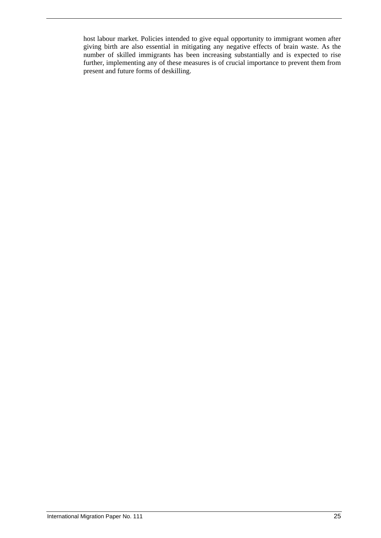host labour market. Policies intended to give equal opportunity to immigrant women after giving birth are also essential in mitigating any negative effects of brain waste. As the number of skilled immigrants has been increasing substantially and is expected to rise further, implementing any of these measures is of crucial importance to prevent them from present and future forms of deskilling.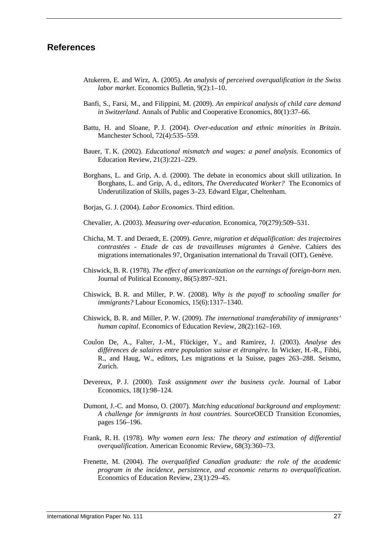### **References**

- Atukeren, E. and Wirz, A. (2005). *An analysis of perceived overqualification in the Swiss labor market*. Economics Bulletin, 9(2):1–10.
- Banfi, S., Farsi, M., and Filippini, M. (2009). *An empirical analysis of child care demand in Switzerland*. Annals of Public and Cooperative Economics, 80(1):37–66.
- Battu, H. and Sloane, P. J. (2004). *Over-education and ethnic minorities in Britain*. Manchester School, 72(4):535–559.
- Bauer, T. K. (2002). *Educational mismatch and wages: a panel analysis*. Economics of Education Review, 21(3):221–229.
- Borghans, L. and Grip, A. d. (2000). The debate in economics about skill utilization. In Borghans, L. and Grip, A. d., editors, *The Overeducated Worker?* The Economics of Underutilization of Skills, pages 3–23. Edward Elgar, Cheltenham.
- Borjas, G. J. (2004). *Labor Economics*. Third edition.
- Chevalier, A. (2003). *Measuring over-education*. Economica, 70(279):509–531.
- Chicha, M. T. and Deraedt, E. (2009). *Genre, migration et déqualification: des trajectoires contrastées - Etude de cas de travailleuses migrantes à Genève*. Cahiers des migrations internationales 97, Organisation international du Travail (OIT), Genève.
- Chiswick, B. R. (1978). *The effect of americanization on the earnings of foreign-born men*. Journal of Political Economy, 86(5):897–921.
- Chiswick, B. R. and Miller, P. W. (2008). *Why is the payoff to schooling smaller for immigrants?* Labour Economics, 15(6):1317–1340.
- Chiswick, B. R. and Miller, P. W. (2009). *The international transferability of immigrants' human capital*. Economics of Education Review, 28(2):162–169.
- Coulon De, A., Falter, J.-M., Flückiger, Y., and Ramirez, J. (2003). *Analyse des différences de salaires entre population suisse et étrangère*. In Wicker, H.-R., Fibbi, R., and Haug, W., editors, Les migrations et la Suisse, pages 263–288. Seismo, Zurich.
- Devereux, P. J. (2000). *Task assignment over the business cycle*. Journal of Labor Economics, 18(1):98–124.
- Dumont, J.-C. and Monso, O. (2007). *Matching educational background and employment: A challenge for immigrants in host countries*. SourceOECD Transition Economies, pages 156–196.
- Frank, R. H. (1978). *Why women earn less: The theory and estimation of differential overqualification*. American Economic Review, 68(3):360–73.
- Frenette, M. (2004). *The overqualified Canadian graduate: the role of the academic program in the incidence, persistence, and economic returns to overqualification*. Economics of Education Review, 23(1):29–45.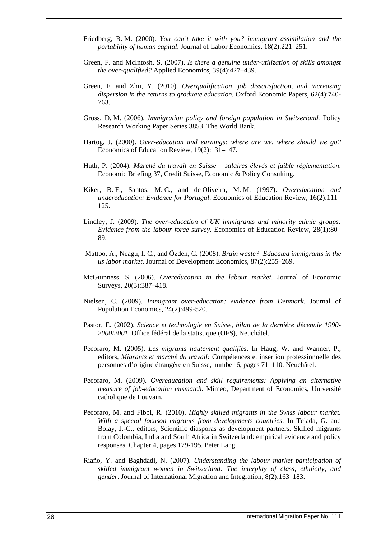- Friedberg, R. M. (2000). *You can't take it with you? immigrant assimilation and the portability of human capital*. Journal of Labor Economics, 18(2):221–251.
- Green, F. and McIntosh, S. (2007). *Is there a genuine under-utilization of skills amongst the over-qualified?* Applied Economics, 39(4):427–439.
- Green, F. and Zhu, Y. (2010). *Overqualification, job dissatisfaction, and increasing dispersion in the returns to graduate education.* Oxford Economic Papers, 62(4):740- 763.
- Gross, D. M. (2006). *Immigration policy and foreign population in Switzerland.* Policy Research Working Paper Series 3853, The World Bank.
- Hartog, J. (2000). *Over-education and earnings: where are we, where should we go?*  Economics of Education Review, 19(2):131–147.
- Huth, P. (2004). *Marché du travail en Suisse salaires élevés et faible réglementation*. Economic Briefing 37, Credit Suisse, Economic & Policy Consulting.
- Kiker, B. F., Santos, M. C., and de Oliveira, M. M. (1997). *Overeducation and undereducation: Evidence for Portugal*. Economics of Education Review, 16(2):111– 125.
- Lindley, J. (2009). *The over-education of UK immigrants and minority ethnic groups: Evidence from the labour force survey*. Economics of Education Review, 28(1):80– 89.
- Mattoo, A., Neagu, I. C., and Özden, C. (2008). *Brain waste? Educated immigrants in the us labor market*. Journal of Development Economics, 87(2):255–269.
- McGuinness, S. (2006). *Overeducation in the labour market*. Journal of Economic Surveys, 20(3):387–418.
- Nielsen, C. (2009). *Immigrant over-education: evidence from Denmark*. Journal of Population Economics, 24(2):499-520.
- Pastor, E. (2002). *Science et technologie en Suisse, bilan de la dernière décennie 1990- 2000/2001*. Office fédéral de la statistique (OFS), Neuchâtel.
- Pecoraro, M. (2005). *Les migrants hautement qualifiés*. In Haug, W. and Wanner, P., editors, *Migrants et marché du travail:* Compétences et insertion professionnelle des personnes d'origine étrangère en Suisse, number 6, pages 71–110. Neuchâtel.
- Pecoraro, M. (2009). *Overeducation and skill requirements: Applying an alternative measure of job-education mismatch*. Mimeo, Department of Economics, Université catholique de Louvain.
- Pecoraro, M. and Fibbi, R. (2010). *Highly skilled migrants in the Swiss labour market. With a special focuson migrants from developments countries*. In Tejada, G. and Bolay, J.-C., editors, Scientific diasporas as development partners. Skilled migrants from Colombia, India and South Africa in Switzerland: empirical evidence and policy responses*.* Chapter 4, pages 179-195. Peter Lang.
- Riaño, Y. and Baghdadi, N. (2007). *Understanding the labour market participation of skilled immigrant women in Switzerland: The interplay of class, ethnicity, and gender*. Journal of International Migration and Integration, 8(2):163–183.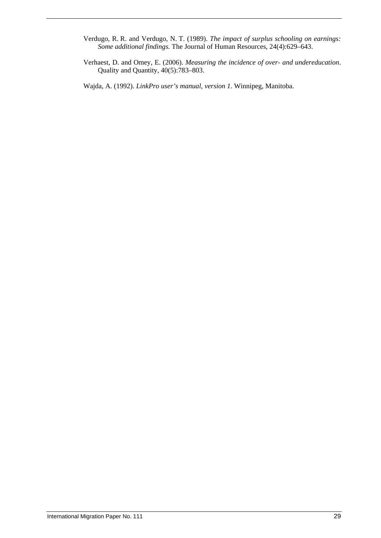- Verdugo, R. R. and Verdugo, N. T. (1989). *The impact of surplus schooling on earnings: Some additional findings.* The Journal of Human Resources, 24(4):629–643.
- Verhaest, D. and Omey, E. (2006). *Measuring the incidence of over- and undereducation*. Quality and Quantity, 40(5):783–803.

Wajda, A. (1992). *LinkPro user's manual, version 1*. Winnipeg, Manitoba.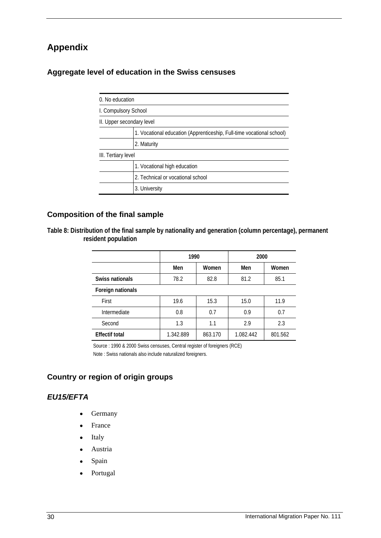## **Appendix**

## **Aggregate level of education in the Swiss censuses**

| 0. No education           |                                                                       |
|---------------------------|-----------------------------------------------------------------------|
| I. Compulsory School      |                                                                       |
| II. Upper secondary level |                                                                       |
|                           | 1. Vocational education (Apprenticeship, Full-time vocational school) |
|                           | 2. Maturity                                                           |
| III. Tertiary level       |                                                                       |
|                           | 1. Vocational high education                                          |
|                           | 2. Technical or vocational school                                     |
|                           | 3. University                                                         |

## **Composition of the final sample**

**Table 8: Distribution of the final sample by nationality and generation (column percentage), permanent resident population** 

|                       | 1990      |         | 2000      |         |  |  |  |  |
|-----------------------|-----------|---------|-----------|---------|--|--|--|--|
|                       | Men       | Women   | Men       | Women   |  |  |  |  |
| Swiss nationals       | 78.2      | 82.8    | 81.2      | 85.1    |  |  |  |  |
| Foreign nationals     |           |         |           |         |  |  |  |  |
| First                 | 19.6      | 15.3    | 15.0      | 11.9    |  |  |  |  |
| Intermediate          | 0.8       | 0.7     | 0.9       | 0.7     |  |  |  |  |
| Second                | 1.3       | 1.1     | 2.9       | 2.3     |  |  |  |  |
| <b>Effectif total</b> | 1.342.889 | 863.170 | 1.082.442 | 801.562 |  |  |  |  |

Source : 1990 & 2000 Swiss censuses, Central register of foreigners (RCE) Note : Swiss nationals also include naturalized foreigners.

## **Country or region of origin groups**

### *EU15/EFTA*

- Germany
- France
- Italy
- Austria
- Spain
- Portugal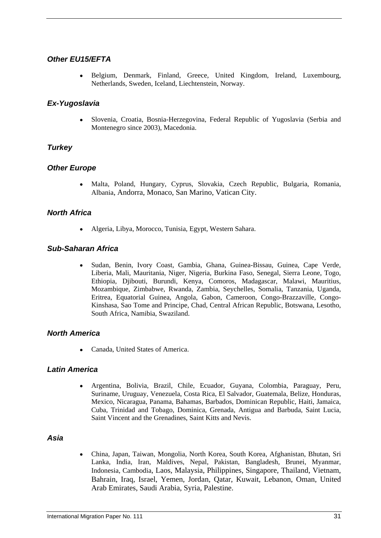### *Other EU15/EFTA*

• Belgium, Denmark, Finland, Greece, United Kingdom, Ireland, Luxembourg, Netherlands, Sweden, Iceland, Liechtenstein, Norway.

### *Ex-Yugoslavia*

• Slovenia, Croatia, Bosnia-Herzegovina, Federal Republic of Yugoslavia (Serbia and Montenegro since 2003), Macedonia.

### *Turkey*

### *Other Europe*

• Malta, Poland, Hungary, Cyprus, Slovakia, Czech Republic, Bulgaria, Romania, Albania, Andorra, Monaco, San Marino, Vatican City.

### *North Africa*

• Algeria, Libya, Morocco, Tunisia, Egypt, Western Sahara.

### *Sub-Saharan Africa*

• Sudan, Benin, Ivory Coast, Gambia, Ghana, Guinea-Bissau, Guinea, Cape Verde, Liberia, Mali, Mauritania, Niger, Nigeria, Burkina Faso, Senegal, Sierra Leone, Togo, Ethiopia, Djibouti, Burundi, Kenya, Comoros, Madagascar, Malawi, Mauritius, Mozambique, Zimbabwe, Rwanda, Zambia, Seychelles, Somalia, Tanzania, Uganda, Eritrea, Equatorial Guinea, Angola, Gabon, Cameroon, Congo-Brazzaville, Congo-Kinshasa, Sao Tome and Principe, Chad, Central African Republic, Botswana, Lesotho, South Africa, Namibia, Swaziland.

### *North America*

• Canada, United States of America.

### *Latin America*

• Argentina, Bolivia, Brazil, Chile, Ecuador, Guyana, Colombia, Paraguay, Peru, Suriname, Uruguay, Venezuela, Costa Rica, El Salvador, Guatemala, Belize, Honduras, Mexico, Nicaragua, Panama, Bahamas, Barbados, Dominican Republic, Haiti, Jamaica, Cuba, Trinidad and Tobago, Dominica, Grenada, Antigua and Barbuda, Saint Lucia, Saint Vincent and the Grenadines, Saint Kitts and Nevis.

### *Asia*

• China, Japan, Taiwan, Mongolia, North Korea, South Korea, Afghanistan, Bhutan, Sri Lanka, India, Iran, Maldives, Nepal, Pakistan, Bangladesh, Brunei, Myanmar, Indonesia, Cambodia, Laos, Malaysia, Philippines, Singapore, Thailand, Vietnam, Bahrain, Iraq, Israel, Yemen, Jordan, Qatar, Kuwait, Lebanon, Oman, United Arab Emirates, Saudi Arabia, Syria, Palestine.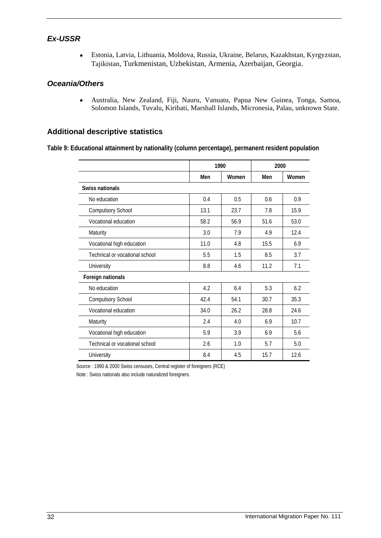## *Ex-USSR*

• Estonia, Latvia, Lithuania, Moldova, Russia, Ukraine, Belarus, Kazakhstan, Kyrgyzstan, Tajikistan, Turkmenistan, Uzbekistan, Armenia, Azerbaijan, Georgia.

### *Oceania/Others*

• Australia, New Zealand, Fiji, Nauru, Vanuatu, Papua New Guinea, Tonga, Samoa, Solomon Islands, Tuvalu, Kiribati, Marshall Islands, Micronesia, Palau, unknown State.

### **Additional descriptive statistics**

**Table 9: Educational attainment by nationality (column percentage), permanent resident population** 

|                                | 1990 |       | 2000 |       |
|--------------------------------|------|-------|------|-------|
|                                | Men  | Women | Men  | Women |
| Swiss nationals                |      |       |      |       |
| No education                   | 0.4  | 0.5   | 0.6  | 0.9   |
| Compulsory School              | 13.1 | 23.7  | 7.8  | 15.9  |
| Vocational education           | 58.2 | 56.9  | 51.6 | 53.0  |
| Maturity                       | 3.0  | 7.9   | 4.9  | 12.4  |
| Vocational high education      | 11.0 | 4.8   | 15.5 | 6.9   |
| Technical or vocational school | 5.5  | 1.5   | 8.5  | 3.7   |
| University                     | 8.8  | 4.6   | 11.2 | 7.1   |
| Foreign nationals              |      |       |      |       |
| No education                   | 4.2  | 6.4   | 5.3  | 6.2   |
| <b>Compulsory School</b>       | 42.4 | 54.1  | 30.7 | 35.3  |
| Vocational education           | 34.0 | 26.2  | 28.8 | 24.6  |
| Maturity                       | 2.4  | 4.0   | 6.9  | 10.7  |
| Vocational high education      | 5.9  | 3.9   | 6.9  | 5.6   |
| Technical or vocational school | 2.6  | 1.0   | 5.7  | 5.0   |
| University                     | 8.4  | 4.5   | 15.7 | 12.6  |

Source : 1990 & 2000 Swiss censuses, Central register of foreigners (RCE)

Note : Swiss nationals also include naturalized foreigners.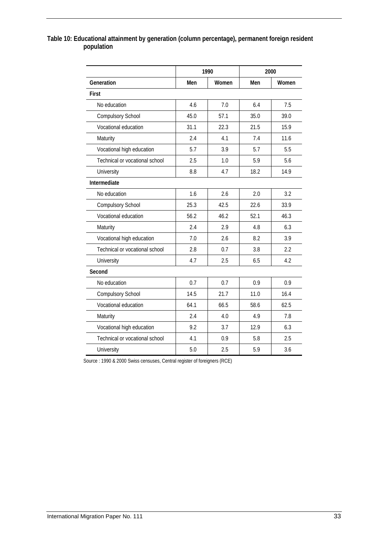|                                |      | 1990  |      | 2000  |
|--------------------------------|------|-------|------|-------|
| Generation                     | Men  | Women | Men  | Women |
| First                          |      |       |      |       |
| No education                   | 4.6  | 7.0   | 6.4  | 7.5   |
| <b>Compulsory School</b>       | 45.0 | 57.1  | 35.0 | 39.0  |
| Vocational education           | 31.1 | 22.3  | 21.5 | 15.9  |
| Maturity                       | 2.4  | 4.1   | 7.4  | 11.6  |
| Vocational high education      | 5.7  | 3.9   | 5.7  | 5.5   |
| Technical or vocational school | 2.5  | 1.0   | 5.9  | 5.6   |
| University                     | 8.8  | 4.7   | 18.2 | 14.9  |
| Intermediate                   |      |       |      |       |
| No education                   | 1.6  | 2.6   | 2.0  | 3.2   |
| <b>Compulsory School</b>       | 25.3 | 42.5  | 22.6 | 33.9  |
| Vocational education           | 56.2 | 46.2  | 52.1 | 46.3  |
| Maturity                       | 2.4  | 2.9   | 4.8  | 6.3   |
| Vocational high education      | 7.0  | 2.6   | 8.2  | 3.9   |
| Technical or vocational school | 2.8  | 0.7   | 3.8  | 2.2   |
| University                     | 4.7  | 2.5   | 6.5  | 4.2   |
| Second                         |      |       |      |       |
| No education                   | 0.7  | 0.7   | 0.9  | 0.9   |
| <b>Compulsory School</b>       | 14.5 | 21.7  | 11.0 | 16.4  |
| Vocational education           | 64.1 | 66.5  | 58.6 | 62.5  |
| Maturity                       | 2.4  | 4.0   | 4.9  | 7.8   |
| Vocational high education      | 9.2  | 3.7   | 12.9 | 6.3   |
| Technical or vocational school | 4.1  | 0.9   | 5.8  | 2.5   |
| University                     | 5.0  | 2.5   | 5.9  | 3.6   |

### **Table 10: Educational attainment by generation (column percentage), permanent foreign resident population**

Source : 1990 & 2000 Swiss censuses, Central register of foreigners (RCE)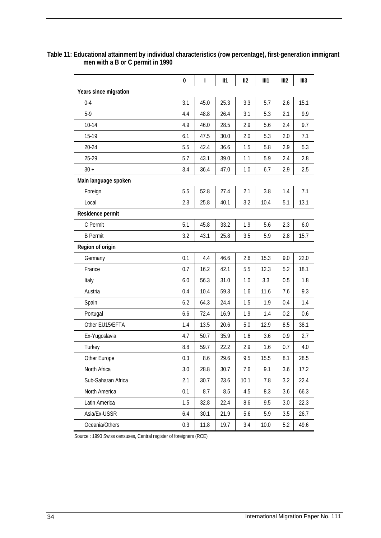|                       | 0   | $\mathsf{l}$ | II1  | II2  | III1 | III2 | III3 |
|-----------------------|-----|--------------|------|------|------|------|------|
| Years since migration |     |              |      |      |      |      |      |
| $0 - 4$               | 3.1 | 45.0         | 25.3 | 3.3  | 5.7  | 2.6  | 15.1 |
| $5-9$                 | 4.4 | 48.8         | 26.4 | 3.1  | 5.3  | 2.1  | 9.9  |
| $10 - 14$             | 4.9 | 46.0         | 28.5 | 2.9  | 5.6  | 2.4  | 9.7  |
| 15-19                 | 6.1 | 47.5         | 30.0 | 2.0  | 5.3  | 2.0  | 7.1  |
| 20-24                 | 5.5 | 42.4         | 36.6 | 1.5  | 5.8  | 2.9  | 5.3  |
| 25-29                 | 5.7 | 43.1         | 39.0 | 1.1  | 5.9  | 2.4  | 2.8  |
| $30 +$                | 3.4 | 36.4         | 47.0 | 1.0  | 6.7  | 2.9  | 2.5  |
| Main language spoken  |     |              |      |      |      |      |      |
| Foreign               | 5.5 | 52.8         | 27.4 | 2.1  | 3.8  | 1.4  | 7.1  |
| Local                 | 2.3 | 25.8         | 40.1 | 3.2  | 10.4 | 5.1  | 13.1 |
| Residence permit      |     |              |      |      |      |      |      |
| C Permit              | 5.1 | 45.8         | 33.2 | 1.9  | 5.6  | 2.3  | 6.0  |
| <b>B</b> Permit       | 3.2 | 43.1         | 25.8 | 3.5  | 5.9  | 2.8  | 15.7 |
| Region of origin      |     |              |      |      |      |      |      |
| Germany               | 0.1 | 4.4          | 46.6 | 2.6  | 15.3 | 9.0  | 22.0 |
| France                | 0.7 | 16.2         | 42.1 | 5.5  | 12.3 | 5.2  | 18.1 |
| Italy                 | 6.0 | 56.3         | 31.0 | 1.0  | 3.3  | 0.5  | 1.8  |
| Austria               | 0.4 | 10.4         | 59.3 | 1.6  | 11.6 | 7.6  | 9.3  |
| Spain                 | 6.2 | 64.3         | 24.4 | 1.5  | 1.9  | 0.4  | 1.4  |
| Portugal              | 6.6 | 72.4         | 16.9 | 1.9  | 1.4  | 0.2  | 0.6  |
| Other EU15/EFTA       | 1.4 | 13.5         | 20.6 | 5.0  | 12.9 | 8.5  | 38.1 |
| Ex-Yugoslavia         | 4.7 | 50.7         | 35.9 | 1.6  | 3.6  | 0.9  | 2.7  |
| Turkey                | 8.8 | 59.7         | 22.2 | 2.9  | 1.6  | 0.7  | 4.0  |
| Other Europe          | 0.3 | 8.6          | 29.6 | 9.5  | 15.5 | 8.1  | 28.5 |
| North Africa          | 3.0 | 28.8         | 30.7 | 7.6  | 9.1  | 3.6  | 17.2 |
| Sub-Saharan Africa    | 2.1 | 30.7         | 23.6 | 10.1 | 7.8  | 3.2  | 22.4 |
| North America         | 0.1 | 8.7          | 8.5  | 4.5  | 8.3  | 3.6  | 66.3 |
| Latin America         | 1.5 | 32.8         | 22.4 | 8.6  | 9.5  | 3.0  | 22.3 |
| Asia/Ex-USSR          | 6.4 | 30.1         | 21.9 | 5.6  | 5.9  | 3.5  | 26.7 |
| Oceania/Others        | 0.3 | 11.8         | 19.7 | 3.4  | 10.0 | 5.2  | 49.6 |

**Table 11: Educational attainment by individual characteristics (row percentage), first-generation immigrant men with a B or C permit in 1990** 

Source : 1990 Swiss censuses, Central register of foreigners (RCE)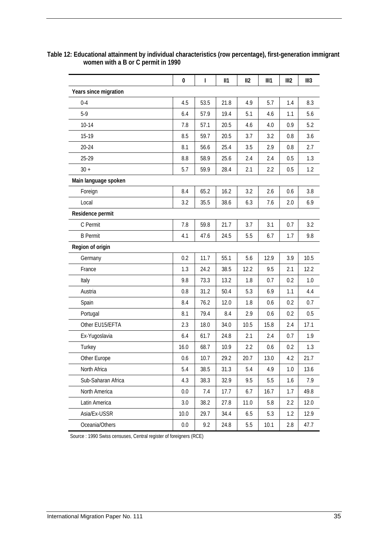|                       | 0       | I    | II1  | II2  | III1 | III2 | III3 |
|-----------------------|---------|------|------|------|------|------|------|
| Years since migration |         |      |      |      |      |      |      |
| $0 - 4$               | 4.5     | 53.5 | 21.8 | 4.9  | 5.7  | 1.4  | 8.3  |
| $5-9$                 | 6.4     | 57.9 | 19.4 | 5.1  | 4.6  | 1.1  | 5.6  |
| $10 - 14$             | 7.8     | 57.1 | 20.5 | 4.6  | 4.0  | 0.9  | 5.2  |
| 15-19                 | 8.5     | 59.7 | 20.5 | 3.7  | 3.2  | 0.8  | 3.6  |
| $20 - 24$             | 8.1     | 56.6 | 25.4 | 3.5  | 2.9  | 0.8  | 2.7  |
| 25-29                 | 8.8     | 58.9 | 25.6 | 2.4  | 2.4  | 0.5  | 1.3  |
| $30 +$                | 5.7     | 59.9 | 28.4 | 2.1  | 2.2  | 0.5  | 1.2  |
| Main language spoken  |         |      |      |      |      |      |      |
| Foreign               | 8.4     | 65.2 | 16.2 | 3.2  | 2.6  | 0.6  | 3.8  |
| Local                 | 3.2     | 35.5 | 38.6 | 6.3  | 7.6  | 2.0  | 6.9  |
| Residence permit      |         |      |      |      |      |      |      |
| C Permit              | 7.8     | 59.8 | 21.7 | 3.7  | 3.1  | 0.7  | 3.2  |
| <b>B</b> Permit       | 4.1     | 47.6 | 24.5 | 5.5  | 6.7  | 1.7  | 9.8  |
| Region of origin      |         |      |      |      |      |      |      |
| Germany               | 0.2     | 11.7 | 55.1 | 5.6  | 12.9 | 3.9  | 10.5 |
| France                | 1.3     | 24.2 | 38.5 | 12.2 | 9.5  | 2.1  | 12.2 |
| Italy                 | 9.8     | 73.3 | 13.2 | 1.8  | 0.7  | 0.2  | 1.0  |
| Austria               | 0.8     | 31.2 | 50.4 | 5.3  | 6.9  | 1.1  | 4.4  |
| Spain                 | 8.4     | 76.2 | 12.0 | 1.8  | 0.6  | 0.2  | 0.7  |
| Portugal              | 8.1     | 79.4 | 8.4  | 2.9  | 0.6  | 0.2  | 0.5  |
| Other EU15/EFTA       | 2.3     | 18.0 | 34.0 | 10.5 | 15.8 | 2.4  | 17.1 |
| Ex-Yugoslavia         | 6.4     | 61.7 | 24.8 | 2.1  | 2.4  | 0.7  | 1.9  |
| Turkey                | 16.0    | 68.7 | 10.9 | 2.2  | 0.6  | 0.2  | 1.3  |
| Other Europe          | 0.6     | 10.7 | 29.2 | 20.7 | 13.0 | 4.2  | 21.7 |
| North Africa          | 5.4     | 38.5 | 31.3 | 5.4  | 4.9  | 1.0  | 13.6 |
| Sub-Saharan Africa    | 4.3     | 38.3 | 32.9 | 9.5  | 5.5  | 1.6  | 7.9  |
| North America         | 0.0     | 7.4  | 17.7 | 6.7  | 16.7 | 1.7  | 49.8 |
| Latin America         | 3.0     | 38.2 | 27.8 | 11.0 | 5.8  | 2.2  | 12.0 |
| Asia/Ex-USSR          | 10.0    | 29.7 | 34.4 | 6.5  | 5.3  | 1.2  | 12.9 |
| Oceania/Others        | $0.0\,$ | 9.2  | 24.8 | 5.5  | 10.1 | 2.8  | 47.7 |

**Table 12: Educational attainment by individual characteristics (row percentage), first-generation immigrant women with a B or C permit in 1990** 

Source : 1990 Swiss censuses, Central register of foreigners (RCE)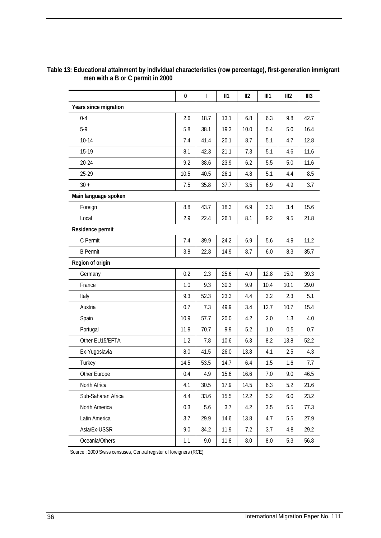|                       | 0    | Т    | $\parallel$ 1 | II2  | III1 | III2 | III3 |
|-----------------------|------|------|---------------|------|------|------|------|
| Years since migration |      |      |               |      |      |      |      |
| $0 - 4$               | 2.6  | 18.7 | 13.1          | 6.8  | 6.3  | 9.8  | 42.7 |
| $5-9$                 | 5.8  | 38.1 | 19.3          | 10.0 | 5.4  | 5.0  | 16.4 |
| $10 - 14$             | 7.4  | 41.4 | 20.1          | 8.7  | 5.1  | 4.7  | 12.8 |
| 15-19                 | 8.1  | 42.3 | 21.1          | 7.3  | 5.1  | 4.6  | 11.6 |
| 20-24                 | 9.2  | 38.6 | 23.9          | 6.2  | 5.5  | 5.0  | 11.6 |
| 25-29                 | 10.5 | 40.5 | 26.1          | 4.8  | 5.1  | 4.4  | 8.5  |
| $30 +$                | 7.5  | 35.8 | 37.7          | 3.5  | 6.9  | 4.9  | 3.7  |
| Main language spoken  |      |      |               |      |      |      |      |
| Foreign               | 8.8  | 43.7 | 18.3          | 6.9  | 3.3  | 3.4  | 15.6 |
| Local                 | 2.9  | 22.4 | 26.1          | 8.1  | 9.2  | 9.5  | 21.8 |
| Residence permit      |      |      |               |      |      |      |      |
| C Permit              | 7.4  | 39.9 | 24.2          | 6.9  | 5.6  | 4.9  | 11.2 |
| <b>B</b> Permit       | 3.8  | 22.8 | 14.9          | 8.7  | 6.0  | 8.3  | 35.7 |
| Region of origin      |      |      |               |      |      |      |      |
| Germany               | 0.2  | 2.3  | 25.6          | 4.9  | 12.8 | 15.0 | 39.3 |
| France                | 1.0  | 9.3  | 30.3          | 9.9  | 10.4 | 10.1 | 29.0 |
| Italy                 | 9.3  | 52.3 | 23.3          | 4.4  | 3.2  | 2.3  | 5.1  |
| Austria               | 0.7  | 7.3  | 49.9          | 3.4  | 12.7 | 10.7 | 15.4 |
| Spain                 | 10.9 | 57.7 | 20.0          | 4.2  | 2.0  | 1.3  | 4.0  |
| Portugal              | 11.9 | 70.7 | 9.9           | 5.2  | 1.0  | 0.5  | 0.7  |
| Other EU15/EFTA       | 1.2  | 7.8  | 10.6          | 6.3  | 8.2  | 13.8 | 52.2 |
| Ex-Yugoslavia         | 8.0  | 41.5 | 26.0          | 13.8 | 4.1  | 2.5  | 4.3  |
| Turkey                | 14.5 | 53.5 | 14.7          | 6.4  | 1.5  | 1.6  | 7.7  |
| Other Europe          | 0.4  | 4.9  | 15.6          | 16.6 | 7.0  | 9.0  | 46.5 |
| North Africa          | 4.1  | 30.5 | 17.9          | 14.5 | 6.3  | 5.2  | 21.6 |
| Sub-Saharan Africa    | 4.4  | 33.6 | 15.5          | 12.2 | 5.2  | 6.0  | 23.2 |
| North America         | 0.3  | 5.6  | 3.7           | 4.2  | 3.5  | 5.5  | 77.3 |
| Latin America         | 3.7  | 29.9 | 14.6          | 13.8 | 4.7  | 5.5  | 27.9 |
| Asia/Ex-USSR          | 9.0  | 34.2 | 11.9          | 7.2  | 3.7  | 4.8  | 29.2 |
| Oceania/Others        | 1.1  | 9.0  | 11.8          | 8.0  | 8.0  | 5.3  | 56.8 |

### **Table 13: Educational attainment by individual characteristics (row percentage), first-generation immigrant men with a B or C permit in 2000**

Source : 2000 Swiss censuses, Central register of foreigners (RCE)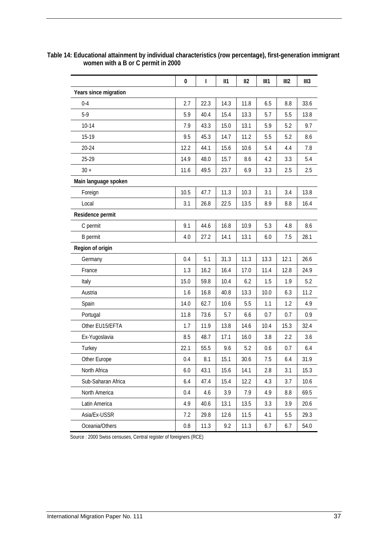|                       | $\pmb{0}$ | I    | 111  | II2  | III1    | III2    | III3 |
|-----------------------|-----------|------|------|------|---------|---------|------|
| Years since migration |           |      |      |      |         |         |      |
| $0 - 4$               | 2.7       | 22.3 | 14.3 | 11.8 | 6.5     | 8.8     | 33.6 |
| $5-9$                 | 5.9       | 40.4 | 15.4 | 13.3 | 5.7     | 5.5     | 13.8 |
| $10-14$               | 7.9       | 43.3 | 15.0 | 13.1 | 5.9     | 5.2     | 9.7  |
| 15-19                 | 9.5       | 45.3 | 14.7 | 11.2 | 5.5     | 5.2     | 8.6  |
| $20 - 24$             | 12.2      | 44.1 | 15.6 | 10.6 | 5.4     | 4.4     | 7.8  |
| 25-29                 | 14.9      | 48.0 | 15.7 | 8.6  | 4.2     | 3.3     | 5.4  |
| $30 +$                | 11.6      | 49.5 | 23.7 | 6.9  | 3.3     | 2.5     | 2.5  |
| Main language spoken  |           |      |      |      |         |         |      |
| Foreign               | 10.5      | 47.7 | 11.3 | 10.3 | 3.1     | 3.4     | 13.8 |
| Local                 | 3.1       | 26.8 | 22.5 | 13.5 | 8.9     | 8.8     | 16.4 |
| Residence permit      |           |      |      |      |         |         |      |
| C permit              | 9.1       | 44.6 | 16.8 | 10.9 | 5.3     | 4.8     | 8.6  |
| <b>B</b> permit       | 4.0       | 27.2 | 14.1 | 13.1 | 6.0     | 7.5     | 28.1 |
| Region of origin      |           |      |      |      |         |         |      |
| Germany               | 0.4       | 5.1  | 31.3 | 11.3 | 13.3    | 12.1    | 26.6 |
| France                | 1.3       | 16.2 | 16.4 | 17.0 | 11.4    | 12.8    | 24.9 |
| Italy                 | 15.0      | 59.8 | 10.4 | 6.2  | 1.5     | 1.9     | 5.2  |
| Austria               | 1.6       | 16.8 | 40.8 | 13.3 | 10.0    | 6.3     | 11.2 |
| Spain                 | 14.0      | 62.7 | 10.6 | 5.5  | 1.1     | 1.2     | 4.9  |
| Portugal              | 11.8      | 73.6 | 5.7  | 6.6  | 0.7     | 0.7     | 0.9  |
| Other EU15/EFTA       | 1.7       | 11.9 | 13.8 | 14.6 | 10.4    | 15.3    | 32.4 |
| Ex-Yugoslavia         | 8.5       | 48.7 | 17.1 | 16.0 | 3.8     | 2.2     | 3.6  |
| Turkey                | 22.1      | 55.5 | 9.6  | 5.2  | 0.6     | 0.7     | 6.4  |
| Other Europe          | 0.4       | 8.1  | 15.1 | 30.6 | $7.5\,$ | $6.4\,$ | 31.9 |
| North Africa          | 6.0       | 43.1 | 15.6 | 14.1 | 2.8     | 3.1     | 15.3 |
| Sub-Saharan Africa    | 6.4       | 47.4 | 15.4 | 12.2 | 4.3     | 3.7     | 10.6 |
| North America         | 0.4       | 4.6  | 3.9  | 7.9  | 4.9     | 8.8     | 69.5 |
| Latin America         | 4.9       | 40.6 | 13.1 | 13.5 | 3.3     | 3.9     | 20.6 |
| Asia/Ex-USSR          | 7.2       | 29.8 | 12.6 | 11.5 | 4.1     | 5.5     | 29.3 |
| Oceania/Others        | 0.8       | 11.3 | 9.2  | 11.3 | 6.7     | 6.7     | 54.0 |

### **Table 14: Educational attainment by individual characteristics (row percentage), first-generation immigrant women with a B or C permit in 2000**

Source : 2000 Swiss censuses, Central register of foreigners (RCE)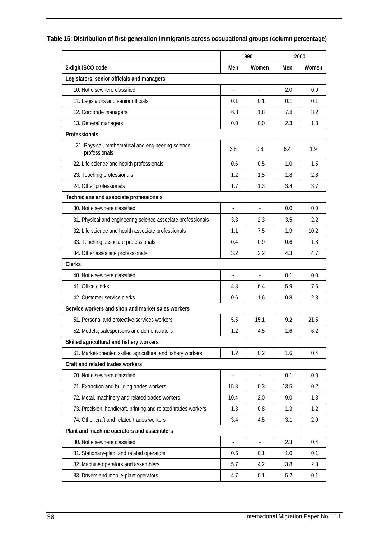|                                                                     |               | 1990           |      | 2000  |
|---------------------------------------------------------------------|---------------|----------------|------|-------|
| 2-digit ISCO code                                                   | Men           | Women          | Men  | Women |
| Legislators, senior officials and managers                          |               |                |      |       |
| 10. Not elsewhere classified                                        | $\frac{1}{2}$ | $\overline{a}$ | 2.0  | 0.9   |
| 11. Legislators and senior officials                                | 0.1           | 0.1            | 0.1  | 0.1   |
| 12. Corporate managers                                              | 6.8           | 1.8            | 7.8  | 3.2   |
| 13. General managers                                                | 0.0           | 0.0            | 2.3  | 1.3   |
| Professionals                                                       |               |                |      |       |
| 21. Physical, mathematical and engineering science<br>professionals | 3.8           | 0.8            | 6.4  | 1.9   |
| 22. Life science and health professionals                           | 0.6           | 0.5            | 1.0  | 1.5   |
| 23. Teaching professionals                                          | 1.2           | 1.5            | 1.8  | 2.8   |
| 24. Other professionals                                             | 1.7           | 1.3            | 3.4  | 3.7   |
| Technicians and associate professionals                             |               |                |      |       |
| 30. Not elsewhere classified                                        | ÷             | $\blacksquare$ | 0.0  | 0.0   |
| 31. Physical and engineering science associate professionals        | 3.3           | 2.3            | 3.5  | 2.2   |
| 32. Life science and health associate professionals                 | 1.1           | 7.5            | 1.9  | 10.2  |
| 33. Teaching associate professionals                                | 0.4           | 0.9            | 0.6  | 1.8   |
| 34. Other associate professionals                                   | 3.2           | 2.2            | 4.3  | 4.7   |
| <b>Clerks</b>                                                       |               |                |      |       |
| 40. Not elsewhere classified                                        |               |                | 0.1  | 0.0   |
| 41. Office clerks                                                   | 4.8           | 6.4            | 5.9  | 7.6   |
| 42. Customer service clerks                                         | 0.6           | 1.6            | 0.8  | 2.3   |
| Service workers and shop and market sales workers                   |               |                |      |       |
| 51. Personal and protective services workers                        | 5.5           | 15.1           | 9.2  | 21.5  |
| 52. Models, salespersons and demonstrators                          | 1.2           | 4.5            | 1.6  | 6.2   |
| Skilled agricultural and fishery workers                            |               |                |      |       |
| 61. Market-oriented skilled agricultural and fishery workers        | 1.2           | 0.2            | 1.6  | 0.4   |
| Craft and related trades workers                                    |               |                |      |       |
| 70. Not elsewhere classified                                        |               |                | 0.1  | 0.0   |
| 71. Extraction and building trades workers                          | 15.8          | 0.3            | 13.5 | 0.2   |
| 72. Metal, machinery and related trades workers                     | 10.4          | 2.0            | 9.0  | 1.3   |
| 73. Precision, handicraft, printing and related trades workers      | 1.3           | 0.8            | 1.3  | 1.2   |
| 74. Other craft and related trades workers                          | 3.4           | 4.5            | 3.1  | 2.9   |
| Plant and machine operators and assemblers                          |               |                |      |       |
| 80. Not elsewhere classified                                        | ÷,            | $\blacksquare$ | 2.3  | 0.4   |
| 81. Stationary-plant and related operators                          | 0.6           | 0.1            | 1.0  | 0.1   |
| 82. Machine operators and assemblers                                | 5.7           | 4.2            | 3.8  | 2.8   |
| 83. Drivers and mobile-plant operators                              | 4.7           | 0.1            | 5.2  | 0.1   |

## **Table 15: Distribution of first-generation immigrants across occupational groups (column percentage)**